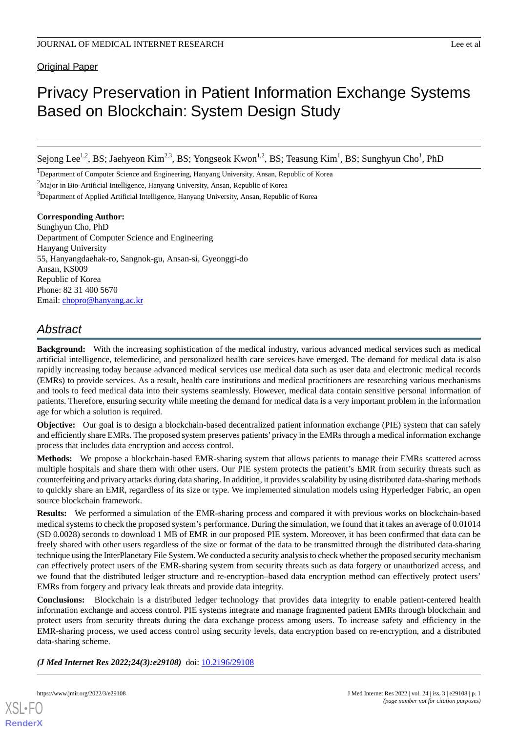**Original Paper** 

# Privacy Preservation in Patient Information Exchange Systems Based on Blockchain: System Design Study

Sejong Lee<sup>1,2</sup>, BS; Jaehyeon Kim<sup>2,3</sup>, BS; Yongseok Kwon<sup>1,2</sup>, BS; Teasung Kim<sup>1</sup>, BS; Sunghyun Cho<sup>1</sup>, PhD

<sup>1</sup>Department of Computer Science and Engineering, Hanyang University, Ansan, Republic of Korea

<sup>2</sup>Major in Bio-Artificial Intelligence, Hanyang University, Ansan, Republic of Korea

<sup>3</sup>Department of Applied Artificial Intelligence, Hanyang University, Ansan, Republic of Korea

**Corresponding Author:** Sunghyun Cho, PhD Department of Computer Science and Engineering Hanyang University 55, Hanyangdaehak-ro, Sangnok-gu, Ansan-si, Gyeonggi-do Ansan, KS009 Republic of Korea Phone: 82 31 400 5670 Email: [chopro@hanyang.ac.kr](mailto:chopro@hanyang.ac.kr)

# *Abstract*

**Background:** With the increasing sophistication of the medical industry, various advanced medical services such as medical artificial intelligence, telemedicine, and personalized health care services have emerged. The demand for medical data is also rapidly increasing today because advanced medical services use medical data such as user data and electronic medical records (EMRs) to provide services. As a result, health care institutions and medical practitioners are researching various mechanisms and tools to feed medical data into their systems seamlessly. However, medical data contain sensitive personal information of patients. Therefore, ensuring security while meeting the demand for medical data is a very important problem in the information age for which a solution is required.

**Objective:** Our goal is to design a blockchain-based decentralized patient information exchange (PIE) system that can safely and efficiently share EMRs. The proposed system preserves patients'privacy in the EMRs through a medical information exchange process that includes data encryption and access control.

**Methods:** We propose a blockchain-based EMR-sharing system that allows patients to manage their EMRs scattered across multiple hospitals and share them with other users. Our PIE system protects the patient's EMR from security threats such as counterfeiting and privacy attacks during data sharing. In addition, it provides scalability by using distributed data-sharing methods to quickly share an EMR, regardless of its size or type. We implemented simulation models using Hyperledger Fabric, an open source blockchain framework.

**Results:** We performed a simulation of the EMR-sharing process and compared it with previous works on blockchain-based medical systems to check the proposed system's performance. During the simulation, we found that it takes an average of 0.01014 (SD 0.0028) seconds to download 1 MB of EMR in our proposed PIE system. Moreover, it has been confirmed that data can be freely shared with other users regardless of the size or format of the data to be transmitted through the distributed data-sharing technique using the InterPlanetary File System. We conducted a security analysis to check whether the proposed security mechanism can effectively protect users of the EMR-sharing system from security threats such as data forgery or unauthorized access, and we found that the distributed ledger structure and re-encryption–based data encryption method can effectively protect users' EMRs from forgery and privacy leak threats and provide data integrity.

**Conclusions:** Blockchain is a distributed ledger technology that provides data integrity to enable patient-centered health information exchange and access control. PIE systems integrate and manage fragmented patient EMRs through blockchain and protect users from security threats during the data exchange process among users. To increase safety and efficiency in the EMR-sharing process, we used access control using security levels, data encryption based on re-encryption, and a distributed data-sharing scheme.

*(J Med Internet Res 2022;24(3):e29108)* doi: [10.2196/29108](http://dx.doi.org/10.2196/29108)



**[RenderX](http://www.renderx.com/)**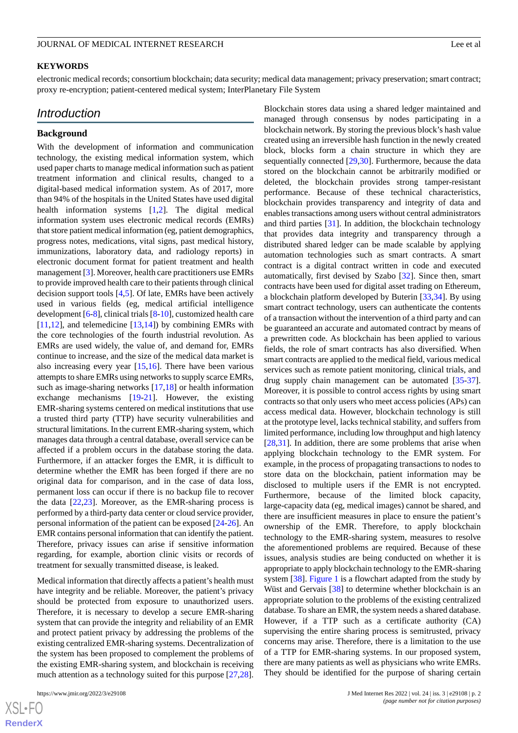#### **KEYWORDS**

electronic medical records; consortium blockchain; data security; medical data management; privacy preservation; smart contract; proxy re-encryption; patient-centered medical system; InterPlanetary File System

## *Introduction*

#### **Background**

With the development of information and communication technology, the existing medical information system, which used paper charts to manage medical information such as patient treatment information and clinical results, changed to a digital-based medical information system. As of 2017, more than 94% of the hospitals in the United States have used digital health information systems [[1](#page-15-0)[,2](#page-15-1)]. The digital medical information system uses electronic medical records (EMRs) that store patient medical information (eg, patient demographics, progress notes, medications, vital signs, past medical history, immunizations, laboratory data, and radiology reports) in electronic document format for patient treatment and health management [[3\]](#page-15-2). Moreover, health care practitioners use EMRs to provide improved health care to their patients through clinical decision support tools [\[4](#page-15-3),[5\]](#page-16-0). Of late, EMRs have been actively used in various fields (eg, medical artificial intelligence development [[6-](#page-16-1)[8\]](#page-16-2), clinical trials [[8-](#page-16-2)[10](#page-16-3)], customized health care  $[11,12]$  $[11,12]$  $[11,12]$  $[11,12]$ , and telemedicine  $[13,14]$  $[13,14]$  $[13,14]$ ) by combining EMRs with the core technologies of the fourth industrial revolution. As EMRs are used widely, the value of, and demand for, EMRs continue to increase, and the size of the medical data market is also increasing every year [[15,](#page-16-8)[16](#page-16-9)]. There have been various attempts to share EMRs using networks to supply scarce EMRs, such as image-sharing networks [\[17](#page-16-10),[18\]](#page-16-11) or health information exchange mechanisms [[19](#page-16-12)[-21](#page-16-13)]. However, the existing EMR-sharing systems centered on medical institutions that use a trusted third party (TTP) have security vulnerabilities and structural limitations. In the current EMR-sharing system, which manages data through a central database, overall service can be affected if a problem occurs in the database storing the data. Furthermore, if an attacker forges the EMR, it is difficult to determine whether the EMR has been forged if there are no original data for comparison, and in the case of data loss, permanent loss can occur if there is no backup file to recover the data [[22,](#page-16-14)[23](#page-16-15)]. Moreover, as the EMR-sharing process is performed by a third-party data center or cloud service provider, personal information of the patient can be exposed [\[24](#page-16-16)[-26](#page-16-17)]. An EMR contains personal information that can identify the patient. Therefore, privacy issues can arise if sensitive information regarding, for example, abortion clinic visits or records of treatment for sexually transmitted disease, is leaked.

Medical information that directly affects a patient's health must have integrity and be reliable. Moreover, the patient's privacy should be protected from exposure to unauthorized users. Therefore, it is necessary to develop a secure EMR-sharing system that can provide the integrity and reliability of an EMR and protect patient privacy by addressing the problems of the existing centralized EMR-sharing systems. Decentralization of the system has been proposed to complement the problems of the existing EMR-sharing system, and blockchain is receiving much attention as a technology suited for this purpose [\[27](#page-16-18),[28\]](#page-17-0).

Blockchain stores data using a shared ledger maintained and managed through consensus by nodes participating in a blockchain network. By storing the previous block's hash value created using an irreversible hash function in the newly created block, blocks form a chain structure in which they are sequentially connected [\[29](#page-17-1),[30\]](#page-17-2). Furthermore, because the data stored on the blockchain cannot be arbitrarily modified or deleted, the blockchain provides strong tamper-resistant performance. Because of these technical characteristics, blockchain provides transparency and integrity of data and enables transactions among users without central administrators and third parties [[31\]](#page-17-3). In addition, the blockchain technology that provides data integrity and transparency through a distributed shared ledger can be made scalable by applying automation technologies such as smart contracts. A smart contract is a digital contract written in code and executed automatically, first devised by Szabo [[32\]](#page-17-4). Since then, smart contracts have been used for digital asset trading on Ethereum, a blockchain platform developed by Buterin [[33](#page-17-5)[,34](#page-17-6)]. By using smart contract technology, users can authenticate the contents of a transaction without the intervention of a third party and can be guaranteed an accurate and automated contract by means of a prewritten code. As blockchain has been applied to various fields, the role of smart contracts has also diversified. When smart contracts are applied to the medical field, various medical services such as remote patient monitoring, clinical trials, and drug supply chain management can be automated [[35-](#page-17-7)[37\]](#page-17-8). Moreover, it is possible to control access rights by using smart contracts so that only users who meet access policies (APs) can access medical data. However, blockchain technology is still at the prototype level, lacks technical stability, and suffers from limited performance, including low throughput and high latency [[28,](#page-17-0)[31\]](#page-17-3). In addition, there are some problems that arise when applying blockchain technology to the EMR system. For example, in the process of propagating transactions to nodes to store data on the blockchain, patient information may be disclosed to multiple users if the EMR is not encrypted. Furthermore, because of the limited block capacity, large-capacity data (eg, medical images) cannot be shared, and there are insufficient measures in place to ensure the patient's ownership of the EMR. Therefore, to apply blockchain technology to the EMR-sharing system, measures to resolve the aforementioned problems are required. Because of these issues, analysis studies are being conducted on whether it is appropriate to apply blockchain technology to the EMR-sharing system [\[38](#page-17-9)]. [Figure 1](#page-2-0) is a flowchart adapted from the study by Wüst and Gervais [[38\]](#page-17-9) to determine whether blockchain is an appropriate solution to the problems of the existing centralized database. To share an EMR, the system needs a shared database. However, if a TTP such as a certificate authority (CA) supervising the entire sharing process is semitrusted, privacy concerns may arise. Therefore, there is a limitation to the use of a TTP for EMR-sharing systems. In our proposed system, there are many patients as well as physicians who write EMRs. They should be identified for the purpose of sharing certain

 $XS$ -FO **[RenderX](http://www.renderx.com/)**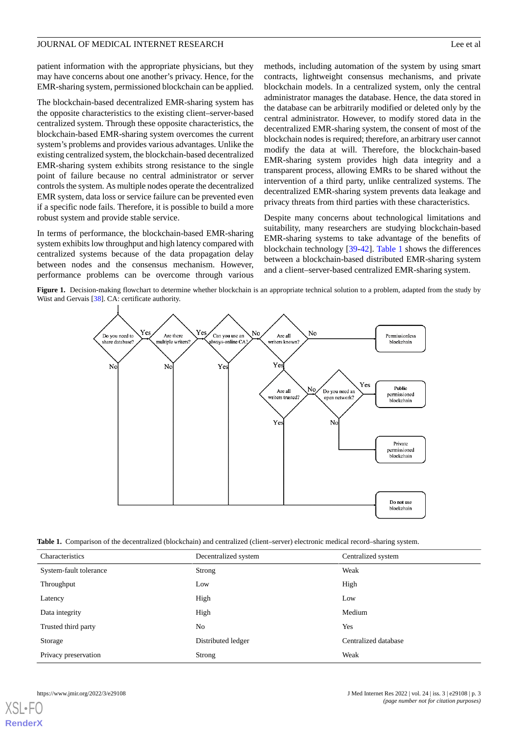patient information with the appropriate physicians, but they may have concerns about one another's privacy. Hence, for the EMR-sharing system, permissioned blockchain can be applied.

The blockchain-based decentralized EMR-sharing system has the opposite characteristics to the existing client–server-based centralized system. Through these opposite characteristics, the blockchain-based EMR-sharing system overcomes the current system's problems and provides various advantages. Unlike the existing centralized system, the blockchain-based decentralized EMR-sharing system exhibits strong resistance to the single point of failure because no central administrator or server controls the system. As multiple nodes operate the decentralized EMR system, data loss or service failure can be prevented even if a specific node fails. Therefore, it is possible to build a more robust system and provide stable service.

<span id="page-2-0"></span>In terms of performance, the blockchain-based EMR-sharing system exhibits low throughput and high latency compared with centralized systems because of the data propagation delay between nodes and the consensus mechanism. However, performance problems can be overcome through various methods, including automation of the system by using smart contracts, lightweight consensus mechanisms, and private blockchain models. In a centralized system, only the central administrator manages the database. Hence, the data stored in the database can be arbitrarily modified or deleted only by the central administrator. However, to modify stored data in the decentralized EMR-sharing system, the consent of most of the blockchain nodes is required; therefore, an arbitrary user cannot modify the data at will. Therefore, the blockchain-based EMR-sharing system provides high data integrity and a transparent process, allowing EMRs to be shared without the intervention of a third party, unlike centralized systems. The decentralized EMR-sharing system prevents data leakage and privacy threats from third parties with these characteristics.

Despite many concerns about technological limitations and suitability, many researchers are studying blockchain-based EMR-sharing systems to take advantage of the benefits of blockchain technology [\[39](#page-17-10)[-42](#page-17-11)]. [Table 1](#page-2-1) shows the differences between a blockchain-based distributed EMR-sharing system and a client–server-based centralized EMR-sharing system.

Figure 1. Decision-making flowchart to determine whether blockchain is an appropriate technical solution to a problem, adapted from the study by Wüst and Gervais [[38](#page-17-9)]. CA: certificate authority.



<span id="page-2-1"></span>**Table 1.** Comparison of the decentralized (blockchain) and centralized (client–server) electronic medical record–sharing system.

| Characteristics        | Decentralized system | Centralized system   |
|------------------------|----------------------|----------------------|
| System-fault tolerance | Strong               | Weak                 |
| Throughput             | Low                  | High                 |
| Latency                | High                 | Low                  |
| Data integrity         | High                 | Medium               |
| Trusted third party    | No                   | Yes                  |
| Storage                | Distributed ledger   | Centralized database |
| Privacy preservation   | Strong               | Weak                 |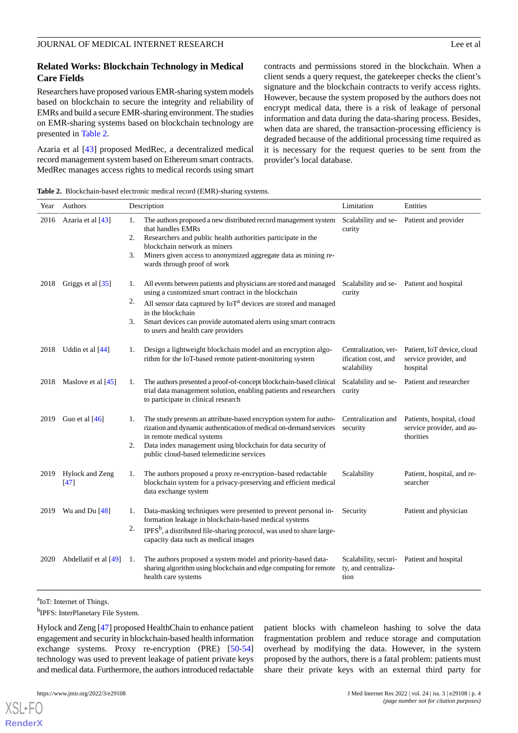## **Related Works: Blockchain Technology in Medical Care Fields**

Researchers have proposed various EMR-sharing system models based on blockchain to secure the integrity and reliability of EMRs and build a secure EMR-sharing environment. The studies on EMR-sharing systems based on blockchain technology are presented in [Table 2](#page-3-0).

Azaria et al [[43\]](#page-17-12) proposed MedRec, a decentralized medical record management system based on Ethereum smart contracts. MedRec manages access rights to medical records using smart contracts and permissions stored in the blockchain. When a client sends a query request, the gatekeeper checks the client's signature and the blockchain contracts to verify access rights. However, because the system proposed by the authors does not encrypt medical data, there is a risk of leakage of personal information and data during the data-sharing process. Besides, when data are shared, the transaction-processing efficiency is degraded because of the additional processing time required as it is necessary for the request queries to be sent from the provider's local database.

<span id="page-3-0"></span>**Table 2.** Blockchain-based electronic medical record (EMR)-sharing systems.

| Year | Authors                 | Description                                                                                                                                                                                                                                                                                                                                           | Limitation                                                 | Entities                                                            |
|------|-------------------------|-------------------------------------------------------------------------------------------------------------------------------------------------------------------------------------------------------------------------------------------------------------------------------------------------------------------------------------------------------|------------------------------------------------------------|---------------------------------------------------------------------|
| 2016 | Azaria et al [43]       | The authors proposed a new distributed record management system<br>1.<br>that handles EMRs<br>2.<br>Researchers and public health authorities participate in the<br>blockchain network as miners<br>Miners given access to anonymized aggregate data as mining re-<br>3.<br>wards through proof of work                                               | Scalability and se-<br>curity                              | Patient and provider                                                |
| 2018 | Griggs et al [35]       | All events between patients and physicians are stored and managed<br>1.<br>using a customized smart contract in the blockchain<br>2.<br>All sensor data captured by $I \circ T^a$ devices are stored and managed<br>in the blockchain<br>3.<br>Smart devices can provide automated alerts using smart contracts<br>to users and health care providers | Scalability and se-<br>curity                              | Patient and hospital                                                |
| 2018 | Uddin et al [44]        | Design a lightweight blockchain model and an encryption algo-<br>1.<br>rithm for the IoT-based remote patient-monitoring system                                                                                                                                                                                                                       | Centralization, ver-<br>ification cost, and<br>scalability | Patient, IoT device, cloud<br>service provider, and<br>hospital     |
| 2018 | Maslove et al [45]      | The authors presented a proof-of-concept blockchain-based clinical<br>1.<br>trial data management solution, enabling patients and researchers<br>to participate in clinical research                                                                                                                                                                  | Scalability and se-<br>curity                              | Patient and researcher                                              |
| 2019 | Guo et al $[46]$        | The study presents an attribute-based encryption system for autho-<br>1.<br>rization and dynamic authentication of medical on-demand services<br>in remote medical systems<br>2.<br>Data index management using blockchain for data security of<br>public cloud-based telemedicine services                                                           | Centralization and<br>security                             | Patients, hospital, cloud<br>service provider, and au-<br>thorities |
| 2019 | Hylock and Zeng<br>[47] | The authors proposed a proxy re-encryption-based redactable<br>1.<br>blockchain system for a privacy-preserving and efficient medical<br>data exchange system                                                                                                                                                                                         | Scalability                                                | Patient, hospital, and re-<br>searcher                              |
| 2019 | Wu and Du $[48]$        | Data-masking techniques were presented to prevent personal in-<br>1.<br>formation leakage in blockchain-based medical systems<br>2.<br>$IPFSb$ , a distributed file-sharing protocol, was used to share large-<br>capacity data such as medical images                                                                                                | Security                                                   | Patient and physician                                               |
| 2020 | Abdellatif et al [49]   | The authors proposed a system model and priority-based data-<br>-1.<br>sharing algorithm using blockchain and edge computing for remote<br>health care systems                                                                                                                                                                                        | Scalability, securi-<br>ty, and centraliza-<br>tion        | Patient and hospital                                                |

<sup>a</sup>IoT: Internet of Things.

<sup>b</sup>IPFS: InterPlanetary File System.

Hylock and Zeng [\[47](#page-17-16)] proposed HealthChain to enhance patient engagement and security in blockchain-based health information exchange systems. Proxy re-encryption (PRE) [[50](#page-17-19)[-54](#page-18-0)] technology was used to prevent leakage of patient private keys and medical data. Furthermore, the authors introduced redactable

[XSL](http://www.w3.org/Style/XSL)•FO **[RenderX](http://www.renderx.com/)**

patient blocks with chameleon hashing to solve the data fragmentation problem and reduce storage and computation overhead by modifying the data. However, in the system proposed by the authors, there is a fatal problem: patients must share their private keys with an external third party for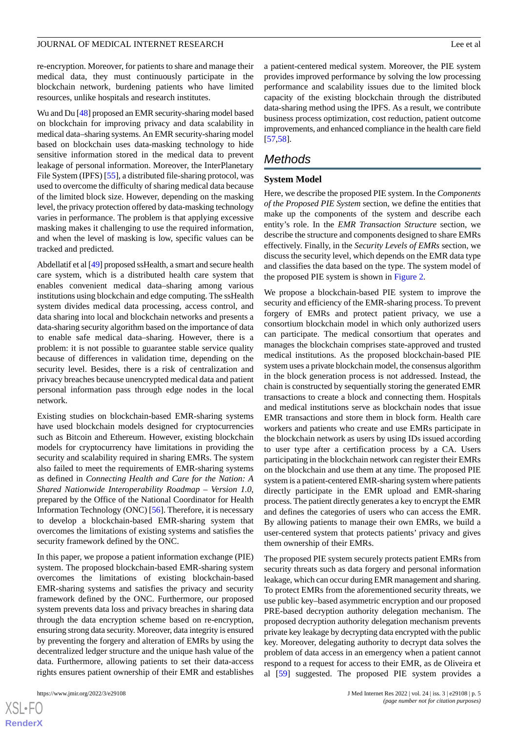re-encryption. Moreover, for patients to share and manage their medical data, they must continuously participate in the blockchain network, burdening patients who have limited resources, unlike hospitals and research institutes.

Wu and Du [\[48](#page-17-17)] proposed an EMR security-sharing model based on blockchain for improving privacy and data scalability in medical data–sharing systems. An EMR security-sharing model based on blockchain uses data-masking technology to hide sensitive information stored in the medical data to prevent leakage of personal information. Moreover, the InterPlanetary File System (IPFS) [[55\]](#page-18-1), a distributed file-sharing protocol, was used to overcome the difficulty of sharing medical data because of the limited block size. However, depending on the masking level, the privacy protection offered by data-masking technology varies in performance. The problem is that applying excessive masking makes it challenging to use the required information, and when the level of masking is low, specific values can be tracked and predicted.

Abdellatif et al [[49\]](#page-17-18) proposed ssHealth, a smart and secure health care system, which is a distributed health care system that enables convenient medical data–sharing among various institutions using blockchain and edge computing. The ssHealth system divides medical data processing, access control, and data sharing into local and blockchain networks and presents a data-sharing security algorithm based on the importance of data to enable safe medical data–sharing. However, there is a problem: it is not possible to guarantee stable service quality because of differences in validation time, depending on the security level. Besides, there is a risk of centralization and privacy breaches because unencrypted medical data and patient personal information pass through edge nodes in the local network.

Existing studies on blockchain-based EMR-sharing systems have used blockchain models designed for cryptocurrencies such as Bitcoin and Ethereum. However, existing blockchain models for cryptocurrency have limitations in providing the security and scalability required in sharing EMRs. The system also failed to meet the requirements of EMR-sharing systems as defined in *Connecting Health and Care for the Nation: A Shared Nationwide Interoperability Roadmap – Version 1.0*, prepared by the Office of the National Coordinator for Health Information Technology (ONC) [[56\]](#page-18-2). Therefore, it is necessary to develop a blockchain-based EMR-sharing system that overcomes the limitations of existing systems and satisfies the security framework defined by the ONC.

In this paper, we propose a patient information exchange (PIE) system. The proposed blockchain-based EMR-sharing system overcomes the limitations of existing blockchain-based EMR-sharing systems and satisfies the privacy and security framework defined by the ONC. Furthermore, our proposed system prevents data loss and privacy breaches in sharing data through the data encryption scheme based on re-encryption, ensuring strong data security. Moreover, data integrity is ensured by preventing the forgery and alteration of EMRs by using the decentralized ledger structure and the unique hash value of the data. Furthermore, allowing patients to set their data-access rights ensures patient ownership of their EMR and establishes

a patient-centered medical system. Moreover, the PIE system provides improved performance by solving the low processing performance and scalability issues due to the limited block capacity of the existing blockchain through the distributed data-sharing method using the IPFS. As a result, we contribute business process optimization, cost reduction, patient outcome improvements, and enhanced compliance in the health care field [[57,](#page-18-3)[58\]](#page-18-4).

## *Methods*

#### **System Model**

Here, we describe the proposed PIE system. In the *Components of the Proposed PIE System* section, we define the entities that make up the components of the system and describe each entity's role. In the *EMR Transaction Structure* section, we describe the structure and components designed to share EMRs effectively. Finally, in the *Security Levels of EMRs* section, we discuss the security level, which depends on the EMR data type and classifies the data based on the type. The system model of the proposed PIE system is shown in [Figure 2.](#page-5-0)

We propose a blockchain-based PIE system to improve the security and efficiency of the EMR-sharing process. To prevent forgery of EMRs and protect patient privacy, we use a consortium blockchain model in which only authorized users can participate. The medical consortium that operates and manages the blockchain comprises state-approved and trusted medical institutions. As the proposed blockchain-based PIE system uses a private blockchain model, the consensus algorithm in the block generation process is not addressed. Instead, the chain is constructed by sequentially storing the generated EMR transactions to create a block and connecting them. Hospitals and medical institutions serve as blockchain nodes that issue EMR transactions and store them in block form. Health care workers and patients who create and use EMRs participate in the blockchain network as users by using IDs issued according to user type after a certification process by a CA. Users participating in the blockchain network can register their EMRs on the blockchain and use them at any time. The proposed PIE system is a patient-centered EMR-sharing system where patients directly participate in the EMR upload and EMR-sharing process. The patient directly generates a key to encrypt the EMR and defines the categories of users who can access the EMR. By allowing patients to manage their own EMRs, we build a user-centered system that protects patients' privacy and gives them ownership of their EMRs.

The proposed PIE system securely protects patient EMRs from security threats such as data forgery and personal information leakage, which can occur during EMR management and sharing. To protect EMRs from the aforementioned security threats, we use public key–based asymmetric encryption and our proposed PRE-based decryption authority delegation mechanism. The proposed decryption authority delegation mechanism prevents private key leakage by decrypting data encrypted with the public key. Moreover, delegating authority to decrypt data solves the problem of data access in an emergency when a patient cannot respond to a request for access to their EMR, as de Oliveira et al [\[59](#page-18-5)] suggested. The proposed PIE system provides a

 $XS$  • FC **[RenderX](http://www.renderx.com/)**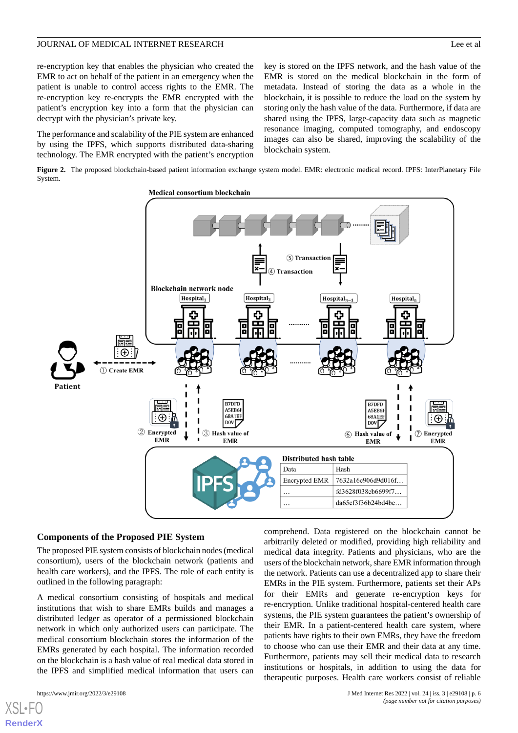re-encryption key that enables the physician who created the EMR to act on behalf of the patient in an emergency when the patient is unable to control access rights to the EMR. The re-encryption key re-encrypts the EMR encrypted with the patient's encryption key into a form that the physician can decrypt with the physician's private key.

The performance and scalability of the PIE system are enhanced by using the IPFS, which supports distributed data-sharing technology. The EMR encrypted with the patient's encryption

key is stored on the IPFS network, and the hash value of the EMR is stored on the medical blockchain in the form of metadata. Instead of storing the data as a whole in the blockchain, it is possible to reduce the load on the system by storing only the hash value of the data. Furthermore, if data are shared using the IPFS, large-capacity data such as magnetic resonance imaging, computed tomography, and endoscopy images can also be shared, improving the scalability of the blockchain system.

<span id="page-5-0"></span>**Figure 2.** The proposed blockchain-based patient information exchange system model. EMR: electronic medical record. IPFS: InterPlanetary File System.



#### **Components of the Proposed PIE System**

The proposed PIE system consists of blockchain nodes (medical consortium), users of the blockchain network (patients and health care workers), and the IPFS. The role of each entity is outlined in the following paragraph:

A medical consortium consisting of hospitals and medical institutions that wish to share EMRs builds and manages a distributed ledger as operator of a permissioned blockchain network in which only authorized users can participate. The medical consortium blockchain stores the information of the EMRs generated by each hospital. The information recorded on the blockchain is a hash value of real medical data stored in the IPFS and simplified medical information that users can

[XSL](http://www.w3.org/Style/XSL)•FO **[RenderX](http://www.renderx.com/)**

comprehend. Data registered on the blockchain cannot be arbitrarily deleted or modified, providing high reliability and medical data integrity. Patients and physicians, who are the users of the blockchain network, share EMR information through the network. Patients can use a decentralized app to share their EMRs in the PIE system. Furthermore, patients set their APs for their EMRs and generate re-encryption keys for re-encryption. Unlike traditional hospital-centered health care systems, the PIE system guarantees the patient's ownership of their EMR. In a patient-centered health care system, where patients have rights to their own EMRs, they have the freedom to choose who can use their EMR and their data at any time. Furthermore, patients may sell their medical data to research institutions or hospitals, in addition to using the data for therapeutic purposes. Health care workers consist of reliable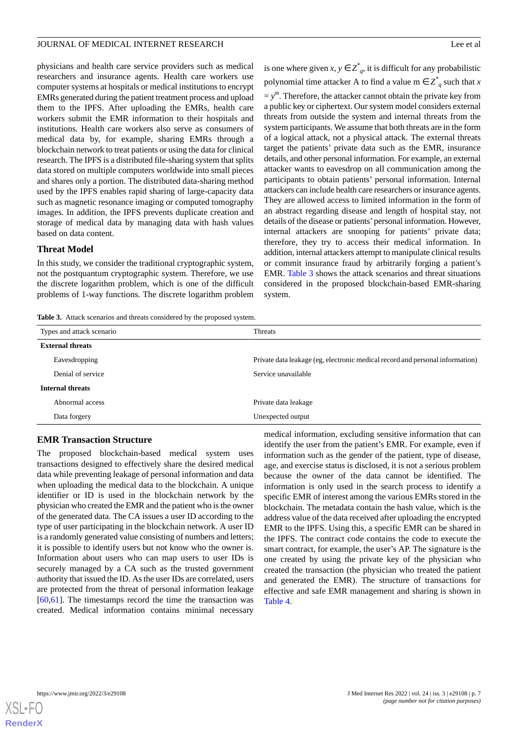physicians and health care service providers such as medical researchers and insurance agents. Health care workers use computer systems at hospitals or medical institutions to encrypt EMRs generated during the patient treatment process and upload them to the IPFS. After uploading the EMRs, health care workers submit the EMR information to their hospitals and institutions. Health care workers also serve as consumers of medical data by, for example, sharing EMRs through a blockchain network to treat patients or using the data for clinical research. The IPFS is a distributed file-sharing system that splits data stored on multiple computers worldwide into small pieces and shares only a portion. The distributed data-sharing method used by the IPFS enables rapid sharing of large-capacity data such as magnetic resonance imaging or computed tomography images. In addition, the IPFS prevents duplicate creation and storage of medical data by managing data with hash values based on data content.

#### **Threat Model**

<span id="page-6-0"></span>In this study, we consider the traditional cryptographic system, not the postquantum cryptographic system. Therefore, we use the discrete logarithm problem, which is one of the difficult problems of 1-way functions. The discrete logarithm problem is one where given *x*,  $y \in Z^*_{q}$ , it is difficult for any probabilistic polynomial time attacker A to find a value m  $\in Z^*_{q}$  such that *x*  $y = y^m$ . Therefore, the attacker cannot obtain the private key from a public key or ciphertext. Our system model considers external threats from outside the system and internal threats from the system participants. We assume that both threats are in the form of a logical attack, not a physical attack. The external threats target the patients' private data such as the EMR, insurance details, and other personal information. For example, an external attacker wants to eavesdrop on all communication among the participants to obtain patients' personal information. Internal attackers can include health care researchers or insurance agents. They are allowed access to limited information in the form of an abstract regarding disease and length of hospital stay, not details of the disease or patients'personal information. However, internal attackers are snooping for patients' private data; therefore, they try to access their medical information. In addition, internal attackers attempt to manipulate clinical results or commit insurance fraud by arbitrarily forging a patient's EMR. [Table 3](#page-6-0) shows the attack scenarios and threat situations considered in the proposed blockchain-based EMR-sharing system.

**Table 3.** Attack scenarios and threats considered by the proposed system.

| Types and attack scenario | <b>Threats</b>                                                                |
|---------------------------|-------------------------------------------------------------------------------|
| <b>External threats</b>   |                                                                               |
| Eavesdropping             | Private data leakage (eg, electronic medical record and personal information) |
| Denial of service         | Service unavailable                                                           |
| <b>Internal threats</b>   |                                                                               |
| Abnormal access           | Private data leakage                                                          |
| Data forgery              | Unexpected output                                                             |
|                           |                                                                               |

#### **EMR Transaction Structure**

The proposed blockchain-based medical system uses transactions designed to effectively share the desired medical data while preventing leakage of personal information and data when uploading the medical data to the blockchain. A unique identifier or ID is used in the blockchain network by the physician who created the EMR and the patient who is the owner of the generated data. The CA issues a user ID according to the type of user participating in the blockchain network. A user ID is a randomly generated value consisting of numbers and letters; it is possible to identify users but not know who the owner is. Information about users who can map users to user IDs is securely managed by a CA such as the trusted government authority that issued the ID. As the user IDs are correlated, users are protected from the threat of personal information leakage [[60](#page-18-6)[,61](#page-18-7)]. The timestamps record the time the transaction was created. Medical information contains minimal necessary

medical information, excluding sensitive information that can identify the user from the patient's EMR. For example, even if information such as the gender of the patient, type of disease, age, and exercise status is disclosed, it is not a serious problem because the owner of the data cannot be identified. The information is only used in the search process to identify a specific EMR of interest among the various EMRs stored in the blockchain. The metadata contain the hash value, which is the address value of the data received after uploading the encrypted EMR to the IPFS. Using this, a specific EMR can be shared in the IPFS. The contract code contains the code to execute the smart contract, for example, the user's AP. The signature is the one created by using the private key of the physician who created the transaction (the physician who treated the patient and generated the EMR). The structure of transactions for effective and safe EMR management and sharing is shown in [Table 4](#page-7-0).

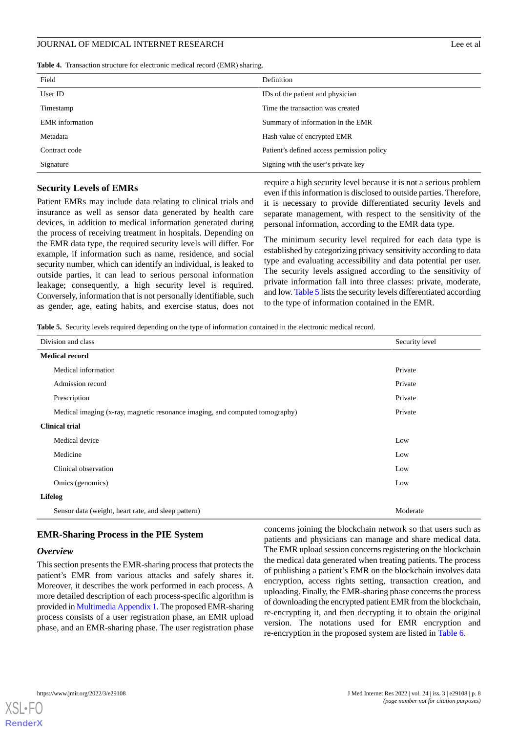<span id="page-7-0"></span>**Table 4.** Transaction structure for electronic medical record (EMR) sharing.

| Field                  | Definition                                 |
|------------------------|--------------------------------------------|
| User ID                | IDs of the patient and physician           |
| Timestamp              | Time the transaction was created           |
| <b>EMR</b> information | Summary of information in the EMR          |
| Metadata               | Hash value of encrypted EMR                |
| Contract code          | Patient's defined access permission policy |
| Signature              | Signing with the user's private key        |

## **Security Levels of EMRs**

Patient EMRs may include data relating to clinical trials and insurance as well as sensor data generated by health care devices, in addition to medical information generated during the process of receiving treatment in hospitals. Depending on the EMR data type, the required security levels will differ. For example, if information such as name, residence, and social security number, which can identify an individual, is leaked to outside parties, it can lead to serious personal information leakage; consequently, a high security level is required. Conversely, information that is not personally identifiable, such as gender, age, eating habits, and exercise status, does not

require a high security level because it is not a serious problem even if this information is disclosed to outside parties. Therefore, it is necessary to provide differentiated security levels and separate management, with respect to the sensitivity of the personal information, according to the EMR data type.

The minimum security level required for each data type is established by categorizing privacy sensitivity according to data type and evaluating accessibility and data potential per user. The security levels assigned according to the sensitivity of private information fall into three classes: private, moderate, and low. [Table 5](#page-7-1) lists the security levels differentiated according to the type of information contained in the EMR.

<span id="page-7-1"></span>**Table 5.** Security levels required depending on the type of information contained in the electronic medical record.

| Division and class                                                           | Security level |  |
|------------------------------------------------------------------------------|----------------|--|
| <b>Medical record</b>                                                        |                |  |
| Medical information                                                          | Private        |  |
| Admission record                                                             | Private        |  |
| Prescription                                                                 | Private        |  |
| Medical imaging (x-ray, magnetic resonance imaging, and computed tomography) | Private        |  |
| <b>Clinical trial</b>                                                        |                |  |
| Medical device                                                               | Low            |  |
| Medicine                                                                     | Low            |  |
| Clinical observation                                                         | Low            |  |
| Omics (genomics)                                                             | Low            |  |
| Lifelog                                                                      |                |  |
| Sensor data (weight, heart rate, and sleep pattern)                          | Moderate       |  |

#### **EMR-Sharing Process in the PIE System**

#### *Overview*

This section presents the EMR-sharing process that protects the patient's EMR from various attacks and safely shares it. Moreover, it describes the work performed in each process. A more detailed description of each process-specific algorithm is provided in [Multimedia Appendix 1](#page-15-4). The proposed EMR-sharing process consists of a user registration phase, an EMR upload phase, and an EMR-sharing phase. The user registration phase

concerns joining the blockchain network so that users such as patients and physicians can manage and share medical data. The EMR upload session concerns registering on the blockchain the medical data generated when treating patients. The process of publishing a patient's EMR on the blockchain involves data encryption, access rights setting, transaction creation, and uploading. Finally, the EMR-sharing phase concerns the process of downloading the encrypted patient EMR from the blockchain, re-encrypting it, and then decrypting it to obtain the original version. The notations used for EMR encryption and re-encryption in the proposed system are listed in [Table 6](#page-8-0).

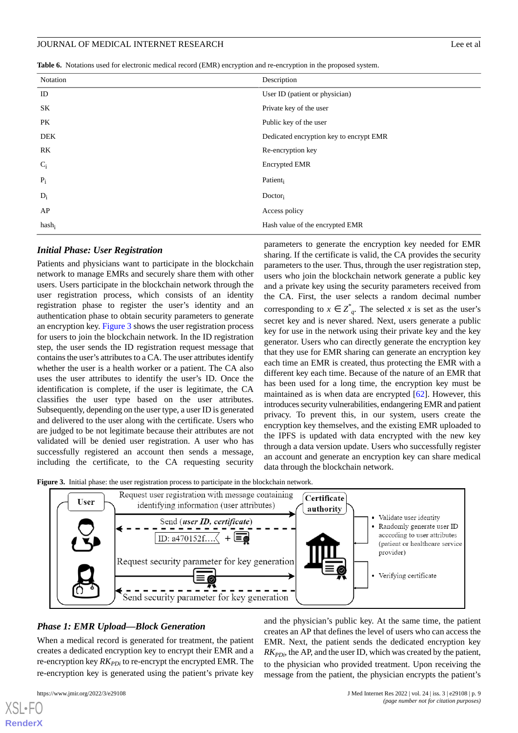<span id="page-8-0"></span>**Table 6.** Notations used for electronic medical record (EMR) encryption and re-encryption in the proposed system.

| Notation | Description                             |
|----------|-----------------------------------------|
| ID       | User ID (patient or physician)          |
| SK       | Private key of the user                 |
| PK       | Public key of the user                  |
| DEK      | Dedicated encryption key to encrypt EMR |
| RK       | Re-encryption key                       |
| $C_i$    | <b>Encrypted EMR</b>                    |
| $P_i$    | Patient                                 |
| $D_i$    | $Dactor_i$                              |
| AP       | Access policy                           |
| $hash_i$ | Hash value of the encrypted EMR         |
|          |                                         |

#### *Initial Phase: User Registration*

Patients and physicians want to participate in the blockchain network to manage EMRs and securely share them with other users. Users participate in the blockchain network through the user registration process, which consists of an identity registration phase to register the user's identity and an authentication phase to obtain security parameters to generate an encryption key. [Figure 3](#page-8-1) shows the user registration process for users to join the blockchain network. In the ID registration step, the user sends the ID registration request message that contains the user's attributes to a CA. The user attributes identify whether the user is a health worker or a patient. The CA also uses the user attributes to identify the user's ID. Once the identification is complete, if the user is legitimate, the CA classifies the user type based on the user attributes. Subsequently, depending on the user type, a user ID is generated and delivered to the user along with the certificate. Users who are judged to be not legitimate because their attributes are not validated will be denied user registration. A user who has successfully registered an account then sends a message, including the certificate, to the CA requesting security

parameters to generate the encryption key needed for EMR sharing. If the certificate is valid, the CA provides the security parameters to the user. Thus, through the user registration step, users who join the blockchain network generate a public key and a private key using the security parameters received from the CA. First, the user selects a random decimal number corresponding to  $x \in \overline{Z}_{q}^{*}$ . The selected *x* is set as the user's secret key and is never shared. Next, users generate a public key for use in the network using their private key and the key generator. Users who can directly generate the encryption key that they use for EMR sharing can generate an encryption key each time an EMR is created, thus protecting the EMR with a different key each time. Because of the nature of an EMR that has been used for a long time, the encryption key must be maintained as is when data are encrypted [\[62](#page-18-8)]. However, this introduces security vulnerabilities, endangering EMR and patient privacy. To prevent this, in our system, users create the encryption key themselves, and the existing EMR uploaded to the IPFS is updated with data encrypted with the new key through a data version update. Users who successfully register an account and generate an encryption key can share medical data through the blockchain network.

<span id="page-8-1"></span>**Figure 3.** Initial phase: the user registration process to participate in the blockchain network.



#### *Phase 1: EMR Upload—Block Generation*

When a medical record is generated for treatment, the patient creates a dedicated encryption key to encrypt their EMR and a re-encryption key  $RK_{PDi}$  to re-encrypt the encrypted EMR. The re-encryption key is generated using the patient's private key

[XSL](http://www.w3.org/Style/XSL)•FO **[RenderX](http://www.renderx.com/)**

 $RK_{PDi}$ , the AP, and the user ID, which was created by the patient, to the physician who provided treatment. Upon receiving the message from the patient, the physician encrypts the patient's

and the physician's public key. At the same time, the patient creates an AP that defines the level of users who can access the EMR. Next, the patient sends the dedicated encryption key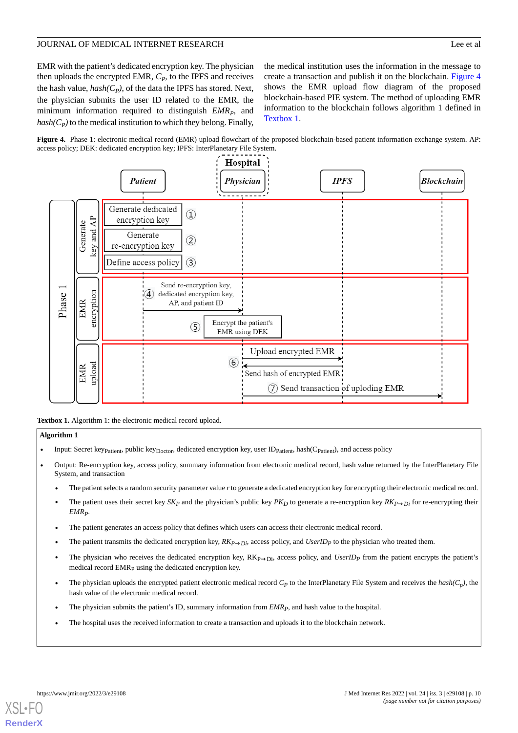EMR with the patient's dedicated encryption key. The physician then uploads the encrypted EMR, *C<sup>P</sup>* , to the IPFS and receives the hash value, *hash(C<sup>P</sup> )*, of the data the IPFS has stored. Next, the physician submits the user ID related to the EMR, the minimum information required to distinguish *EMR<sup>P</sup>* , and  $hash(C_P)$  to the medical institution to which they belong. Finally,

the medical institution uses the information in the message to create a transaction and publish it on the blockchain. [Figure 4](#page-9-0) shows the EMR upload flow diagram of the proposed blockchain-based PIE system. The method of uploading EMR information to the blockchain follows algorithm 1 defined in [Textbox 1.](#page-9-1)

<span id="page-9-0"></span>



<span id="page-9-1"></span>**Textbox 1.** Algorithm 1: the electronic medical record upload.

#### **Algorithm 1**

- Input: Secret keyp<sub>atient</sub>, public key<sub>Doctor</sub>, dedicated encryption key, user ID<sub>Patient</sub>, hash(C<sub>Patient</sub>), and access policy
- Output: Re-encryption key, access policy, summary information from electronic medical record, hash value returned by the InterPlanetary File System, and transaction
	- The patient selects a random security parameter value *r*to generate a dedicated encryption key for encrypting their electronic medical record.
	- The patient uses their secret key  $SK_P$  and the physician's public key  $PK_D$  to generate a re-encryption key  $RK_{P\rightarrow Di}$  for re-encrypting their *EMRP*.
	- The patient generates an access policy that defines which users can access their electronic medical record.
	- The patient transmits the dedicated encryption key,  $RK_{P\rightarrow Di}$ , access policy, and *UserID<sub>P</sub>* to the physician who treated them.
	- The physician who receives the dedicated encryption key,  $RK_{P\rightarrow Di}$ , access policy, and  $UserID_P$  from the patient encrypts the patient's medical record EMR<sub>P</sub> using the dedicated encryption key.
	- The physician uploads the encrypted patient electronic medical record  $C_P$  to the InterPlanetary File System and receives the  $hash(C_p)$ , the hash value of the electronic medical record.
	- The physician submits the patient's ID, summary information from *EMRP*, and hash value to the hospital.
	- The hospital uses the received information to create a transaction and uploads it to the blockchain network.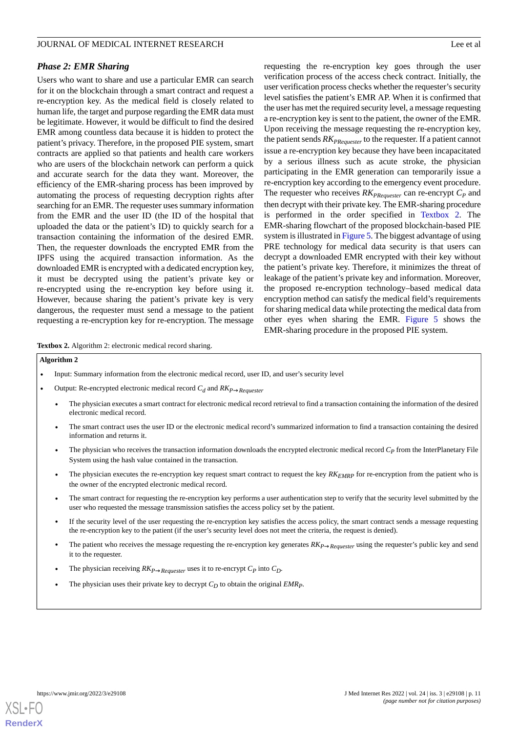#### *Phase 2: EMR Sharing*

Users who want to share and use a particular EMR can search for it on the blockchain through a smart contract and request a re-encryption key. As the medical field is closely related to human life, the target and purpose regarding the EMR data must be legitimate. However, it would be difficult to find the desired EMR among countless data because it is hidden to protect the patient's privacy. Therefore, in the proposed PIE system, smart contracts are applied so that patients and health care workers who are users of the blockchain network can perform a quick and accurate search for the data they want. Moreover, the efficiency of the EMR-sharing process has been improved by automating the process of requesting decryption rights after searching for an EMR. The requester uses summary information from the EMR and the user ID (the ID of the hospital that uploaded the data or the patient's ID) to quickly search for a transaction containing the information of the desired EMR. Then, the requester downloads the encrypted EMR from the IPFS using the acquired transaction information. As the downloaded EMR is encrypted with a dedicated encryption key, it must be decrypted using the patient's private key or re-encrypted using the re-encryption key before using it. However, because sharing the patient's private key is very dangerous, the requester must send a message to the patient requesting a re-encryption key for re-encryption. The message

requesting the re-encryption key goes through the user verification process of the access check contract. Initially, the user verification process checks whether the requester's security level satisfies the patient's EMR AP. When it is confirmed that the user has met the required security level, a message requesting a re-encryption key is sent to the patient, the owner of the EMR. Upon receiving the message requesting the re-encryption key, the patient sends *RKPRequester* to the requester. If a patient cannot issue a re-encryption key because they have been incapacitated by a serious illness such as acute stroke, the physician participating in the EMR generation can temporarily issue a re-encryption key according to the emergency event procedure. The requester who receives *RKPRequester* can re-encrypt *C<sup>P</sup>* and then decrypt with their private key. The EMR-sharing procedure is performed in the order specified in [Textbox 2.](#page-10-0) The EMR-sharing flowchart of the proposed blockchain-based PIE system is illustrated in [Figure 5](#page-11-0). The biggest advantage of using PRE technology for medical data security is that users can decrypt a downloaded EMR encrypted with their key without the patient's private key. Therefore, it minimizes the threat of leakage of the patient's private key and information. Moreover, the proposed re-encryption technology–based medical data encryption method can satisfy the medical field's requirements for sharing medical data while protecting the medical data from other eyes when sharing the EMR. [Figure 5](#page-11-0) shows the EMR-sharing procedure in the proposed PIE system.

<span id="page-10-0"></span>**Textbox 2.** Algorithm 2: electronic medical record sharing.

#### **Algorithm 2**

- Input: Summary information from the electronic medical record, user ID, and user's security level
- Output: Re-encrypted electronic medical record *C<sup>d</sup>* and *RKP*→*Requester*
	- The physician executes a smart contract for electronic medical record retrieval to find a transaction containing the information of the desired electronic medical record.
	- The smart contract uses the user ID or the electronic medical record's summarized information to find a transaction containing the desired information and returns it.
	- The physician who receives the transaction information downloads the encrypted electronic medical record *C<sup>P</sup>* from the InterPlanetary File System using the hash value contained in the transaction.
	- The physician executes the re-encryption key request smart contract to request the key *RKEMRP* for re-encryption from the patient who is the owner of the encrypted electronic medical record.
	- The smart contract for requesting the re-encryption key performs a user authentication step to verify that the security level submitted by the user who requested the message transmission satisfies the access policy set by the patient.
	- If the security level of the user requesting the re-encryption key satisfies the access policy, the smart contract sends a message requesting the re-encryption key to the patient (if the user's security level does not meet the criteria, the request is denied).
	- The patient who receives the message requesting the re-encryption key generates *RKP*→*Requester* using the requester's public key and send it to the requester.
	- The physician receiving  $RK_{P\rightarrow Requester}$  uses it to re-encrypt  $C_P$  into  $C_D$ .
	- The physician uses their private key to decrypt *C<sup>D</sup>* to obtain the original *EMRP*.

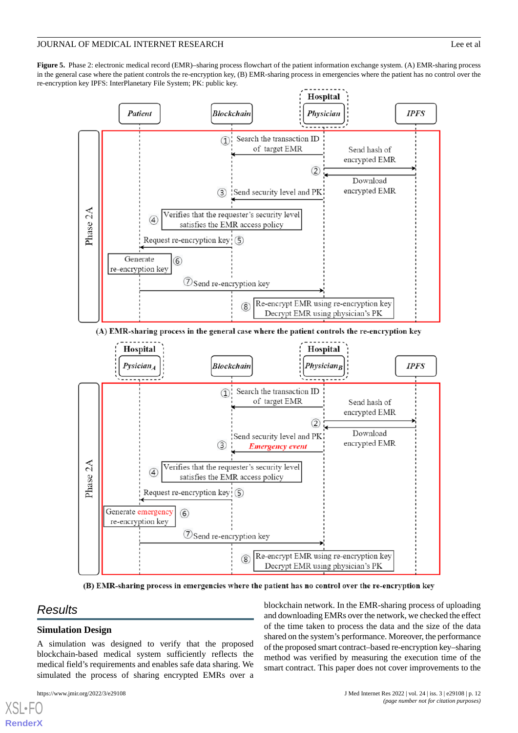<span id="page-11-0"></span>**Figure 5.** Phase 2: electronic medical record (EMR)–sharing process flowchart of the patient information exchange system. (A) EMR-sharing process in the general case where the patient controls the re-encryption key, (B) EMR-sharing process in emergencies where the patient has no control over the re-encryption key IPFS: InterPlanetary File System; PK: public key.



(A) EMR-sharing process in the general case where the patient controls the re-encryption key



(B) EMR-sharing process in emergencies where the patient has no control over the re-encryption key

## *Results*

[XSL](http://www.w3.org/Style/XSL)•FO **[RenderX](http://www.renderx.com/)**

## **Simulation Design**

A simulation was designed to verify that the proposed blockchain-based medical system sufficiently reflects the medical field's requirements and enables safe data sharing. We simulated the process of sharing encrypted EMRs over a

blockchain network. In the EMR-sharing process of uploading and downloading EMRs over the network, we checked the effect of the time taken to process the data and the size of the data shared on the system's performance. Moreover, the performance of the proposed smart contract–based re-encryption key–sharing method was verified by measuring the execution time of the smart contract. This paper does not cover improvements to the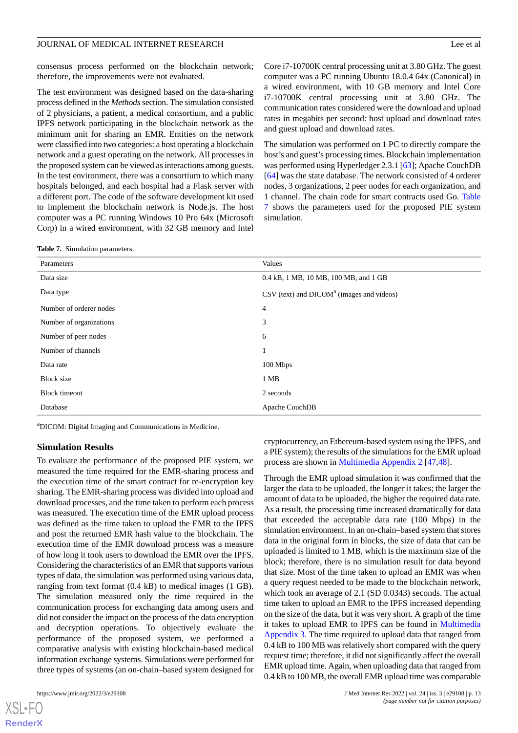consensus process performed on the blockchain network; therefore, the improvements were not evaluated.

The test environment was designed based on the data-sharing process defined in the *Methods*section. The simulation consisted of 2 physicians, a patient, a medical consortium, and a public IPFS network participating in the blockchain network as the minimum unit for sharing an EMR. Entities on the network were classified into two categories: a host operating a blockchain network and a guest operating on the network. All processes in the proposed system can be viewed as interactions among guests. In the test environment, there was a consortium to which many hospitals belonged, and each hospital had a Flask server with a different port. The code of the software development kit used to implement the blockchain network is Node.js. The host computer was a PC running Windows 10 Pro 64x (Microsoft Corp) in a wired environment, with 32 GB memory and Intel

| Core i7-10700K central processing unit at 3.80 GHz. The guest |  |  |
|---------------------------------------------------------------|--|--|
| computer was a PC running Ubuntu 18.0.4 64x (Canonical) in    |  |  |
| a wired environment, with 10 GB memory and Intel Core         |  |  |
| i7-10700K central processing unit at 3.80 GHz. The            |  |  |
| communication rates considered were the download and upload   |  |  |
| rates in megabits per second: host upload and download rates  |  |  |
| and guest upload and download rates.                          |  |  |

The simulation was performed on 1 PC to directly compare the host's and guest's processing times. Blockchain implementation was performed using Hyperledger 2.3.1 [\[63](#page-18-9)]; Apache CouchDB [[64\]](#page-18-10) was the state database. The network consisted of 4 orderer nodes, 3 organizations, 2 peer nodes for each organization, and 1 channel. The chain code for smart contracts used Go. [Table](#page-12-0) [7](#page-12-0) shows the parameters used for the proposed PIE system simulation.

<span id="page-12-0"></span>

|  |  | <b>Table 7.</b> Simulation parameters. |
|--|--|----------------------------------------|
|--|--|----------------------------------------|

| Parameters              | Values                                                                |
|-------------------------|-----------------------------------------------------------------------|
| Data size               | 0.4 kB, 1 MB, 10 MB, 100 MB, and 1 GB                                 |
| Data type               | $\text{CSV (text)}$ and $\text{DICOM}^{\text{a}}$ (images and videos) |
| Number of orderer nodes | 4                                                                     |
| Number of organizations | 3                                                                     |
| Number of peer nodes    | 6                                                                     |
| Number of channels      |                                                                       |
| Data rate               | 100 Mbps                                                              |
| <b>Block size</b>       | 1 MB                                                                  |
| <b>Block</b> timeout    | 2 seconds                                                             |
| Database                | Apache CouchDB                                                        |

<sup>a</sup>DICOM: Digital Imaging and Communications in Medicine.

#### **Simulation Results**

To evaluate the performance of the proposed PIE system, we measured the time required for the EMR-sharing process and the execution time of the smart contract for re-encryption key sharing. The EMR-sharing process was divided into upload and download processes, and the time taken to perform each process was measured. The execution time of the EMR upload process was defined as the time taken to upload the EMR to the IPFS and post the returned EMR hash value to the blockchain. The execution time of the EMR download process was a measure of how long it took users to download the EMR over the IPFS. Considering the characteristics of an EMR that supports various types of data, the simulation was performed using various data, ranging from text format (0.4 kB) to medical images (1 GB). The simulation measured only the time required in the communication process for exchanging data among users and did not consider the impact on the process of the data encryption and decryption operations. To objectively evaluate the performance of the proposed system, we performed a comparative analysis with existing blockchain-based medical information exchange systems. Simulations were performed for three types of systems (an on-chain–based system designed for

 $XS$  $\cdot$ FC **[RenderX](http://www.renderx.com/)** cryptocurrency, an Ethereum-based system using the IPFS, and a PIE system); the results of the simulations for the EMR upload process are shown in [Multimedia Appendix 2](#page-15-5) [\[47](#page-17-16),[48\]](#page-17-17).

Through the EMR upload simulation it was confirmed that the larger the data to be uploaded, the longer it takes; the larger the amount of data to be uploaded, the higher the required data rate. As a result, the processing time increased dramatically for data that exceeded the acceptable data rate (100 Mbps) in the simulation environment. In an on-chain–based system that stores data in the original form in blocks, the size of data that can be uploaded is limited to 1 MB, which is the maximum size of the block; therefore, there is no simulation result for data beyond that size. Most of the time taken to upload an EMR was when a query request needed to be made to the blockchain network, which took an average of 2.1 (SD 0.0343) seconds. The actual time taken to upload an EMR to the IPFS increased depending on the size of the data, but it was very short. A graph of the time it takes to upload EMR to IPFS can be found in [Multimedia](#page-15-6) [Appendix 3](#page-15-6). The time required to upload data that ranged from 0.4 kB to 100 MB was relatively short compared with the query request time; therefore, it did not significantly affect the overall EMR upload time. Again, when uploading data that ranged from 0.4 kB to 100 MB, the overall EMR upload time was comparable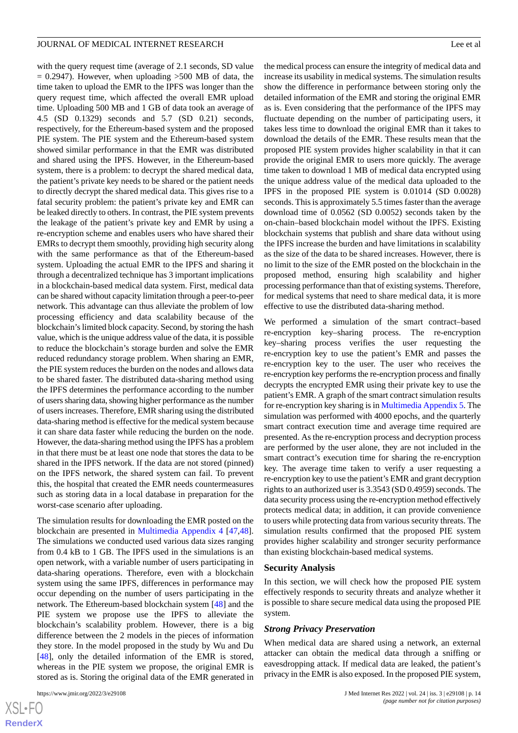with the query request time (average of 2.1 seconds, SD value  $= 0.2947$ ). However, when uploading  $>500$  MB of data, the time taken to upload the EMR to the IPFS was longer than the query request time, which affected the overall EMR upload time. Uploading 500 MB and 1 GB of data took an average of 4.5 (SD 0.1329) seconds and 5.7 (SD 0.21) seconds, respectively, for the Ethereum-based system and the proposed PIE system. The PIE system and the Ethereum-based system showed similar performance in that the EMR was distributed and shared using the IPFS. However, in the Ethereum-based system, there is a problem: to decrypt the shared medical data, the patient's private key needs to be shared or the patient needs to directly decrypt the shared medical data. This gives rise to a fatal security problem: the patient's private key and EMR can be leaked directly to others. In contrast, the PIE system prevents the leakage of the patient's private key and EMR by using a re-encryption scheme and enables users who have shared their EMRs to decrypt them smoothly, providing high security along with the same performance as that of the Ethereum-based system. Uploading the actual EMR to the IPFS and sharing it through a decentralized technique has 3 important implications in a blockchain-based medical data system. First, medical data can be shared without capacity limitation through a peer-to-peer network. This advantage can thus alleviate the problem of low processing efficiency and data scalability because of the blockchain's limited block capacity. Second, by storing the hash value, which is the unique address value of the data, it is possible to reduce the blockchain's storage burden and solve the EMR reduced redundancy storage problem. When sharing an EMR, the PIE system reduces the burden on the nodes and allows data to be shared faster. The distributed data-sharing method using the IPFS determines the performance according to the number of users sharing data, showing higher performance as the number of users increases. Therefore, EMR sharing using the distributed data-sharing method is effective for the medical system because it can share data faster while reducing the burden on the node. However, the data-sharing method using the IPFS has a problem in that there must be at least one node that stores the data to be shared in the IPFS network. If the data are not stored (pinned) on the IPFS network, the shared system can fail. To prevent this, the hospital that created the EMR needs countermeasures such as storing data in a local database in preparation for the worst-case scenario after uploading.

The simulation results for downloading the EMR posted on the blockchain are presented in [Multimedia Appendix 4](#page-15-7) [\[47](#page-17-16),[48\]](#page-17-17). The simulations we conducted used various data sizes ranging from 0.4 kB to 1 GB. The IPFS used in the simulations is an open network, with a variable number of users participating in data-sharing operations. Therefore, even with a blockchain system using the same IPFS, differences in performance may occur depending on the number of users participating in the network. The Ethereum-based blockchain system [\[48](#page-17-17)] and the PIE system we propose use the IPFS to alleviate the blockchain's scalability problem. However, there is a big difference between the 2 models in the pieces of information they store. In the model proposed in the study by Wu and Du [[48\]](#page-17-17), only the detailed information of the EMR is stored, whereas in the PIE system we propose, the original EMR is stored as is. Storing the original data of the EMR generated in

[XSL](http://www.w3.org/Style/XSL)•FO **[RenderX](http://www.renderx.com/)** the medical process can ensure the integrity of medical data and increase its usability in medical systems. The simulation results show the difference in performance between storing only the detailed information of the EMR and storing the original EMR as is. Even considering that the performance of the IPFS may fluctuate depending on the number of participating users, it takes less time to download the original EMR than it takes to download the details of the EMR. These results mean that the proposed PIE system provides higher scalability in that it can provide the original EMR to users more quickly. The average time taken to download 1 MB of medical data encrypted using the unique address value of the medical data uploaded to the IPFS in the proposed PIE system is 0.01014 (SD 0.0028) seconds. This is approximately 5.5 times faster than the average download time of 0.0562 (SD 0.0052) seconds taken by the on-chain–based blockchain model without the IPFS. Existing blockchain systems that publish and share data without using the IPFS increase the burden and have limitations in scalability as the size of the data to be shared increases. However, there is no limit to the size of the EMR posted on the blockchain in the proposed method, ensuring high scalability and higher processing performance than that of existing systems. Therefore, for medical systems that need to share medical data, it is more effective to use the distributed data-sharing method.

We performed a simulation of the smart contract–based re-encryption key–sharing process. The re-encryption key–sharing process verifies the user requesting the re-encryption key to use the patient's EMR and passes the re-encryption key to the user. The user who receives the re-encryption key performs the re-encryption process and finally decrypts the encrypted EMR using their private key to use the patient's EMR. A graph of the smart contract simulation results for re-encryption key sharing is in [Multimedia Appendix 5.](#page-15-8) The simulation was performed with 4000 epochs, and the quarterly smart contract execution time and average time required are presented. As the re-encryption process and decryption process are performed by the user alone, they are not included in the smart contract's execution time for sharing the re-encryption key. The average time taken to verify a user requesting a re-encryption key to use the patient's EMR and grant decryption rights to an authorized user is 3.3543 (SD 0.4959) seconds. The data security process using the re-encryption method effectively protects medical data; in addition, it can provide convenience to users while protecting data from various security threats. The simulation results confirmed that the proposed PIE system provides higher scalability and stronger security performance than existing blockchain-based medical systems.

#### **Security Analysis**

In this section, we will check how the proposed PIE system effectively responds to security threats and analyze whether it is possible to share secure medical data using the proposed PIE system.

#### *Strong Privacy Preservation*

When medical data are shared using a network, an external attacker can obtain the medical data through a sniffing or eavesdropping attack. If medical data are leaked, the patient's privacy in the EMR is also exposed. In the proposed PIE system,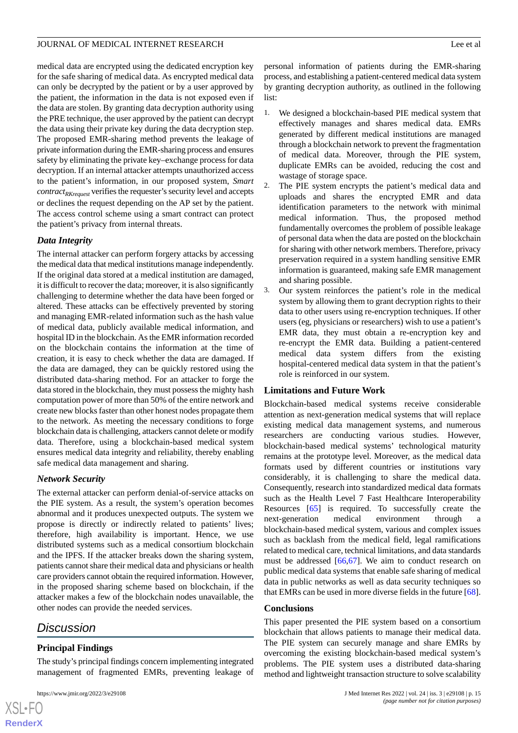medical data are encrypted using the dedicated encryption key for the safe sharing of medical data. As encrypted medical data can only be decrypted by the patient or by a user approved by the patient, the information in the data is not exposed even if the data are stolen. By granting data decryption authority using the PRE technique, the user approved by the patient can decrypt the data using their private key during the data decryption step. The proposed EMR-sharing method prevents the leakage of private information during the EMR-sharing process and ensures safety by eliminating the private key–exchange process for data decryption. If an internal attacker attempts unauthorized access to the patient's information, in our proposed system, *Smart contractRKrequest* verifies the requester's security level and accepts or declines the request depending on the AP set by the patient. The access control scheme using a smart contract can protect the patient's privacy from internal threats.

## *Data Integrity*

The internal attacker can perform forgery attacks by accessing the medical data that medical institutions manage independently. If the original data stored at a medical institution are damaged, it is difficult to recover the data; moreover, it is also significantly challenging to determine whether the data have been forged or altered. These attacks can be effectively prevented by storing and managing EMR-related information such as the hash value of medical data, publicly available medical information, and hospital ID in the blockchain. As the EMR information recorded on the blockchain contains the information at the time of creation, it is easy to check whether the data are damaged. If the data are damaged, they can be quickly restored using the distributed data-sharing method. For an attacker to forge the data stored in the blockchain, they must possess the mighty hash computation power of more than 50% of the entire network and create new blocks faster than other honest nodes propagate them to the network. As meeting the necessary conditions to forge blockchain data is challenging, attackers cannot delete or modify data. Therefore, using a blockchain-based medical system ensures medical data integrity and reliability, thereby enabling safe medical data management and sharing.

## *Network Security*

The external attacker can perform denial-of-service attacks on the PIE system. As a result, the system's operation becomes abnormal and it produces unexpected outputs. The system we propose is directly or indirectly related to patients' lives; therefore, high availability is important. Hence, we use distributed systems such as a medical consortium blockchain and the IPFS. If the attacker breaks down the sharing system, patients cannot share their medical data and physicians or health care providers cannot obtain the required information. However, in the proposed sharing scheme based on blockchain, if the attacker makes a few of the blockchain nodes unavailable, the other nodes can provide the needed services.

## *Discussion*

## **Principal Findings**

The study's principal findings concern implementing integrated management of fragmented EMRs, preventing leakage of

personal information of patients during the EMR-sharing process, and establishing a patient-centered medical data system by granting decryption authority, as outlined in the following list:

- 1. We designed a blockchain-based PIE medical system that effectively manages and shares medical data. EMRs generated by different medical institutions are managed through a blockchain network to prevent the fragmentation of medical data. Moreover, through the PIE system, duplicate EMRs can be avoided, reducing the cost and wastage of storage space.
- 2. The PIE system encrypts the patient's medical data and uploads and shares the encrypted EMR and data identification parameters to the network with minimal medical information. Thus, the proposed method fundamentally overcomes the problem of possible leakage of personal data when the data are posted on the blockchain for sharing with other network members. Therefore, privacy preservation required in a system handling sensitive EMR information is guaranteed, making safe EMR management and sharing possible.
- 3. Our system reinforces the patient's role in the medical system by allowing them to grant decryption rights to their data to other users using re-encryption techniques. If other users (eg, physicians or researchers) wish to use a patient's EMR data, they must obtain a re-encryption key and re-encrypt the EMR data. Building a patient-centered medical data system differs from the existing hospital-centered medical data system in that the patient's role is reinforced in our system.

#### **Limitations and Future Work**

Blockchain-based medical systems receive considerable attention as next-generation medical systems that will replace existing medical data management systems, and numerous researchers are conducting various studies. However, blockchain-based medical systems' technological maturity remains at the prototype level. Moreover, as the medical data formats used by different countries or institutions vary considerably, it is challenging to share the medical data. Consequently, research into standardized medical data formats such as the Health Level 7 Fast Healthcare Interoperability Resources [[65\]](#page-18-11) is required. To successfully create the next-generation medical environment through blockchain-based medical system, various and complex issues such as backlash from the medical field, legal ramifications related to medical care, technical limitations, and data standards must be addressed [\[66](#page-18-12),[67\]](#page-18-13). We aim to conduct research on public medical data systems that enable safe sharing of medical data in public networks as well as data security techniques so that EMRs can be used in more diverse fields in the future [[68\]](#page-18-14).

#### **Conclusions**

This paper presented the PIE system based on a consortium blockchain that allows patients to manage their medical data. The PIE system can securely manage and share EMRs by overcoming the existing blockchain-based medical system's problems. The PIE system uses a distributed data-sharing method and lightweight transaction structure to solve scalability

 $XSI - F($ **[RenderX](http://www.renderx.com/)**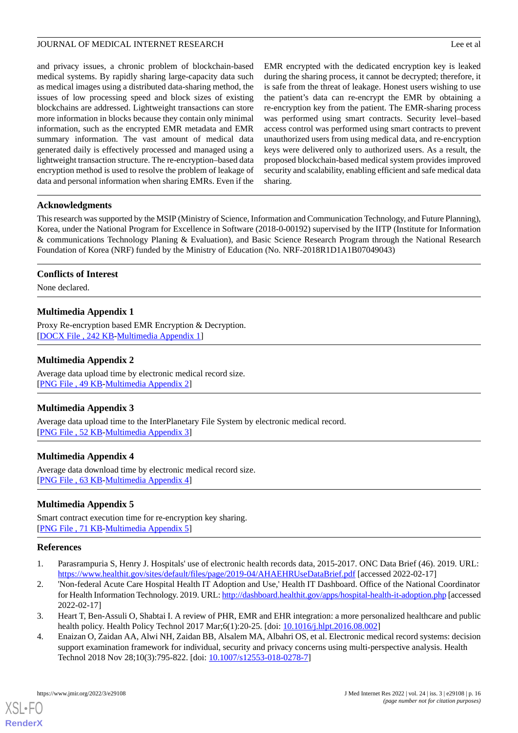and privacy issues, a chronic problem of blockchain-based medical systems. By rapidly sharing large-capacity data such as medical images using a distributed data-sharing method, the issues of low processing speed and block sizes of existing blockchains are addressed. Lightweight transactions can store more information in blocks because they contain only minimal information, such as the encrypted EMR metadata and EMR summary information. The vast amount of medical data generated daily is effectively processed and managed using a lightweight transaction structure. The re-encryption–based data encryption method is used to resolve the problem of leakage of data and personal information when sharing EMRs. Even if the EMR encrypted with the dedicated encryption key is leaked during the sharing process, it cannot be decrypted; therefore, it is safe from the threat of leakage. Honest users wishing to use the patient's data can re-encrypt the EMR by obtaining a re-encryption key from the patient. The EMR-sharing process was performed using smart contracts. Security level–based access control was performed using smart contracts to prevent unauthorized users from using medical data, and re-encryption keys were delivered only to authorized users. As a result, the proposed blockchain-based medical system provides improved security and scalability, enabling efficient and safe medical data sharing.

## **Acknowledgments**

This research was supported by the MSIP (Ministry of Science, Information and Communication Technology, and Future Planning), Korea, under the National Program for Excellence in Software (2018-0-00192) supervised by the IITP (Institute for Information & communications Technology Planing & Evaluation), and Basic Science Research Program through the National Research Foundation of Korea (NRF) funded by the Ministry of Education (No. NRF-2018R1D1A1B07049043)

#### <span id="page-15-4"></span>**Conflicts of Interest**

None declared.

## **Multimedia Appendix 1**

<span id="page-15-5"></span>Proxy Re-encryption based EMR Encryption & Decryption. [[DOCX File , 242 KB-Multimedia Appendix 1\]](https://jmir.org/api/download?alt_name=jmir_v24i3e29108_app1.docx&filename=012b38c9139d0567a5df64b6b8055867.docx)

## **Multimedia Appendix 2**

<span id="page-15-6"></span>Average data upload time by electronic medical record size. [[PNG File , 49 KB-Multimedia Appendix 2](https://jmir.org/api/download?alt_name=jmir_v24i3e29108_app2.png&filename=004f20bb1aeba82605955da3e511101e.png)]

#### <span id="page-15-7"></span>**Multimedia Appendix 3**

Average data upload time to the InterPlanetary File System by electronic medical record. [PNG File, 52 KB-Multimedia Appendix 3]

#### <span id="page-15-8"></span>**Multimedia Appendix 4**

Average data download time by electronic medical record size. [[PNG File , 63 KB-Multimedia Appendix 4](https://jmir.org/api/download?alt_name=jmir_v24i3e29108_app4.png&filename=357e9c3d6b655a2e622fe2ee0a2243c0.png)]

## <span id="page-15-0"></span>**Multimedia Appendix 5**

<span id="page-15-1"></span>Smart contract execution time for re-encryption key sharing. [[PNG File , 71 KB-Multimedia Appendix 5](https://jmir.org/api/download?alt_name=jmir_v24i3e29108_app5.png&filename=02fcf89900a9ac5801ab72512227b84f.png)]

#### <span id="page-15-2"></span>**References**

- <span id="page-15-3"></span>1. Parasrampuria S, Henry J. Hospitals' use of electronic health records data, 2015-2017. ONC Data Brief (46). 2019. URL: <https://www.healthit.gov/sites/default/files/page/2019-04/AHAEHRUseDataBrief.pdf> [accessed 2022-02-17]
- 2. 'Non-federal Acute Care Hospital Health IT Adoption and Use,' Health IT Dashboard. Office of the National Coordinator for Health Information Technology. 2019. URL:<http://dashboard.healthit.gov/apps/hospital-health-it-adoption.php> [accessed 2022-02-17]
- 3. Heart T, Ben-Assuli O, Shabtai I. A review of PHR, EMR and EHR integration: a more personalized healthcare and public health policy. Health Policy Technol 2017 Mar;6(1):20-25. [doi: [10.1016/j.hlpt.2016.08.002](http://dx.doi.org/10.1016/j.hlpt.2016.08.002)]
- 4. Enaizan O, Zaidan AA, Alwi NH, Zaidan BB, Alsalem MA, Albahri OS, et al. Electronic medical record systems: decision support examination framework for individual, security and privacy concerns using multi-perspective analysis. Health Technol 2018 Nov 28;10(3):795-822. [doi: [10.1007/s12553-018-0278-7](http://dx.doi.org/10.1007/s12553-018-0278-7)]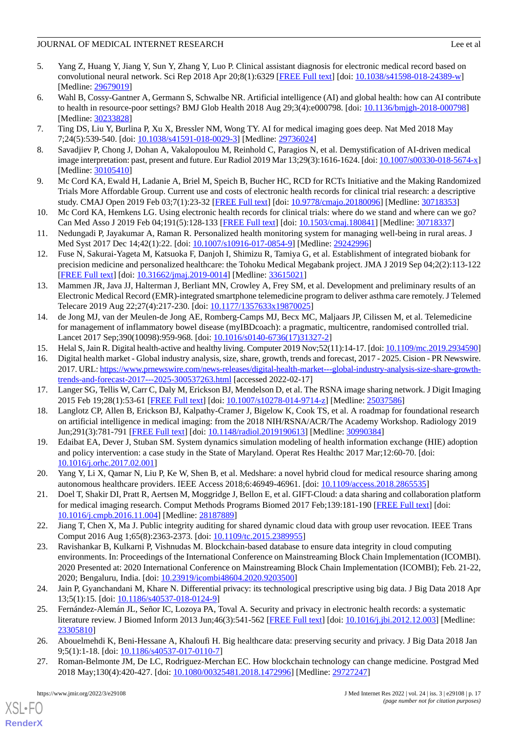## JOURNAL OF MEDICAL INTERNET RESEARCH Lee et al

- 
- <span id="page-16-0"></span>5. Yang Z, Huang Y, Jiang Y, Sun Y, Zhang Y, Luo P. Clinical assistant diagnosis for electronic medical record based on convolutional neural network. Sci Rep 2018 Apr 20;8(1):6329 [\[FREE Full text\]](https://doi.org/10.1038/s41598-018-24389-w) [doi: [10.1038/s41598-018-24389-w](http://dx.doi.org/10.1038/s41598-018-24389-w)] [Medline: [29679019](http://www.ncbi.nlm.nih.gov/entrez/query.fcgi?cmd=Retrieve&db=PubMed&list_uids=29679019&dopt=Abstract)]
- <span id="page-16-1"></span>6. Wahl B, Cossy-Gantner A, Germann S, Schwalbe NR. Artificial intelligence (AI) and global health: how can AI contribute to health in resource-poor settings? BMJ Glob Health 2018 Aug 29;3(4):e000798. [doi: [10.1136/bmjgh-2018-000798\]](http://dx.doi.org/10.1136/bmjgh-2018-000798) [Medline: [30233828](http://www.ncbi.nlm.nih.gov/entrez/query.fcgi?cmd=Retrieve&db=PubMed&list_uids=30233828&dopt=Abstract)]
- <span id="page-16-2"></span>7. Ting DS, Liu Y, Burlina P, Xu X, Bressler NM, Wong TY. AI for medical imaging goes deep. Nat Med 2018 May 7;24(5):539-540. [doi: [10.1038/s41591-018-0029-3\]](http://dx.doi.org/10.1038/s41591-018-0029-3) [Medline: [29736024](http://www.ncbi.nlm.nih.gov/entrez/query.fcgi?cmd=Retrieve&db=PubMed&list_uids=29736024&dopt=Abstract)]
- 8. Savadjiev P, Chong J, Dohan A, Vakalopoulou M, Reinhold C, Paragios N, et al. Demystification of AI-driven medical image interpretation: past, present and future. Eur Radiol 2019 Mar 13;29(3):1616-1624. [doi: [10.1007/s00330-018-5674-x\]](http://dx.doi.org/10.1007/s00330-018-5674-x) [Medline: [30105410](http://www.ncbi.nlm.nih.gov/entrez/query.fcgi?cmd=Retrieve&db=PubMed&list_uids=30105410&dopt=Abstract)]
- <span id="page-16-3"></span>9. Mc Cord KA, Ewald H, Ladanie A, Briel M, Speich B, Bucher HC, RCD for RCTs Initiative and the Making Randomized Trials More Affordable Group. Current use and costs of electronic health records for clinical trial research: a descriptive study. CMAJ Open 2019 Feb 03;7(1):23-32 [\[FREE Full text\]](http://cmajopen.ca/cgi/pmidlookup?view=long&pmid=30718353) [doi: [10.9778/cmajo.20180096](http://dx.doi.org/10.9778/cmajo.20180096)] [Medline: [30718353\]](http://www.ncbi.nlm.nih.gov/entrez/query.fcgi?cmd=Retrieve&db=PubMed&list_uids=30718353&dopt=Abstract)
- <span id="page-16-4"></span>10. Mc Cord KA, Hemkens LG. Using electronic health records for clinical trials: where do we stand and where can we go? Can Med Asso J 2019 Feb 04;191(5):128-133 [\[FREE Full text\]](http://www.cmaj.ca/cgi/pmidlookup?view=long&pmid=30718337) [doi: [10.1503/cmaj.180841](http://dx.doi.org/10.1503/cmaj.180841)] [Medline: [30718337\]](http://www.ncbi.nlm.nih.gov/entrez/query.fcgi?cmd=Retrieve&db=PubMed&list_uids=30718337&dopt=Abstract)
- <span id="page-16-5"></span>11. Nedungadi P, Jayakumar A, Raman R. Personalized health monitoring system for managing well-being in rural areas. J Med Syst 2017 Dec 14;42(1):22. [doi: [10.1007/s10916-017-0854-9\]](http://dx.doi.org/10.1007/s10916-017-0854-9) [Medline: [29242996\]](http://www.ncbi.nlm.nih.gov/entrez/query.fcgi?cmd=Retrieve&db=PubMed&list_uids=29242996&dopt=Abstract)
- <span id="page-16-6"></span>12. Fuse N, Sakurai-Yageta M, Katsuoka F, Danjoh I, Shimizu R, Tamiya G, et al. Establishment of integrated biobank for precision medicine and personalized healthcare: the Tohoku Medical Megabank project. JMA J 2019 Sep 04;2(2):113-122 [[FREE Full text](http://europepmc.org/abstract/MED/33615021)] [doi: [10.31662/jmaj.2019-0014](http://dx.doi.org/10.31662/jmaj.2019-0014)] [Medline: [33615021](http://www.ncbi.nlm.nih.gov/entrez/query.fcgi?cmd=Retrieve&db=PubMed&list_uids=33615021&dopt=Abstract)]
- <span id="page-16-7"></span>13. Mammen JR, Java JJ, Halterman J, Berliant MN, Crowley A, Frey SM, et al. Development and preliminary results of an Electronic Medical Record (EMR)-integrated smartphone telemedicine program to deliver asthma care remotely. J Telemed Telecare 2019 Aug 22;27(4):217-230. [doi: [10.1177/1357633x19870025](http://dx.doi.org/10.1177/1357633x19870025)]
- <span id="page-16-9"></span><span id="page-16-8"></span>14. de Jong MJ, van der Meulen-de Jong AE, Romberg-Camps MJ, Becx MC, Maljaars JP, Cilissen M, et al. Telemedicine for management of inflammatory bowel disease (myIBDcoach): a pragmatic, multicentre, randomised controlled trial. Lancet 2017 Sep;390(10098):959-968. [doi: [10.1016/s0140-6736\(17\)31327-2](http://dx.doi.org/10.1016/s0140-6736(17)31327-2)]
- <span id="page-16-10"></span>15. Helal S, Jain R. Digital health-active and healthy living. Computer 2019 Nov;52(11):14-17. [doi: [10.1109/mc.2019.2934590\]](http://dx.doi.org/10.1109/mc.2019.2934590)
- <span id="page-16-11"></span>16. Digital health market - Global industry analysis, size, share, growth, trends and forecast, 2017 - 2025. Cision - PR Newswire. 2017. URL: [https://www.prnewswire.com/news-releases/digital-health-market---global-industry-analysis-size-share-growth](https://www.prnewswire.com/news-releases/digital-health-market---global-industry-analysis-size-share-growth-trends-and-forecast-2017---2025-300537263.html)[trends-and-forecast-2017---2025-300537263.html](https://www.prnewswire.com/news-releases/digital-health-market---global-industry-analysis-size-share-growth-trends-and-forecast-2017---2025-300537263.html) [accessed 2022-02-17]
- <span id="page-16-12"></span>17. Langer SG, Tellis W, Carr C, Daly M, Erickson BJ, Mendelson D, et al. The RSNA image sharing network. J Digit Imaging 2015 Feb 19;28(1):53-61 [[FREE Full text](http://europepmc.org/abstract/MED/25037586)] [doi: [10.1007/s10278-014-9714-z](http://dx.doi.org/10.1007/s10278-014-9714-z)] [Medline: [25037586\]](http://www.ncbi.nlm.nih.gov/entrez/query.fcgi?cmd=Retrieve&db=PubMed&list_uids=25037586&dopt=Abstract)
- 18. Langlotz CP, Allen B, Erickson BJ, Kalpathy-Cramer J, Bigelow K, Cook TS, et al. A roadmap for foundational research on artificial intelligence in medical imaging: from the 2018 NIH/RSNA/ACR/The Academy Workshop. Radiology 2019 Jun;291(3):781-791 [[FREE Full text](http://europepmc.org/abstract/MED/30990384)] [doi: [10.1148/radiol.2019190613](http://dx.doi.org/10.1148/radiol.2019190613)] [Medline: [30990384](http://www.ncbi.nlm.nih.gov/entrez/query.fcgi?cmd=Retrieve&db=PubMed&list_uids=30990384&dopt=Abstract)]
- <span id="page-16-13"></span>19. Edaibat EA, Dever J, Stuban SM. System dynamics simulation modeling of health information exchange (HIE) adoption and policy intervention: a case study in the State of Maryland. Operat Res Healthc 2017 Mar;12:60-70. [doi: [10.1016/j.orhc.2017.02.001](http://dx.doi.org/10.1016/j.orhc.2017.02.001)]
- <span id="page-16-14"></span>20. Yang Y, Li X, Qamar N, Liu P, Ke W, Shen B, et al. Medshare: a novel hybrid cloud for medical resource sharing among autonomous healthcare providers. IEEE Access 2018;6:46949-46961. [doi: [10.1109/access.2018.2865535](http://dx.doi.org/10.1109/access.2018.2865535)]
- <span id="page-16-15"></span>21. Doel T, Shakir DI, Pratt R, Aertsen M, Moggridge J, Bellon E, et al. GIFT-Cloud: a data sharing and collaboration platform for medical imaging research. Comput Methods Programs Biomed 2017 Feb;139:181-190 [[FREE Full text](https://linkinghub.elsevier.com/retrieve/pii/S0169-2607(16)30654-X)] [doi: [10.1016/j.cmpb.2016.11.004](http://dx.doi.org/10.1016/j.cmpb.2016.11.004)] [Medline: [28187889](http://www.ncbi.nlm.nih.gov/entrez/query.fcgi?cmd=Retrieve&db=PubMed&list_uids=28187889&dopt=Abstract)]
- <span id="page-16-16"></span>22. Jiang T, Chen X, Ma J. Public integrity auditing for shared dynamic cloud data with group user revocation. IEEE Trans Comput 2016 Aug 1;65(8):2363-2373. [doi: [10.1109/tc.2015.2389955\]](http://dx.doi.org/10.1109/tc.2015.2389955)
- 23. Ravishankar B, Kulkarni P, Vishnudas M. Blockchain-based database to ensure data integrity in cloud computing environments. In: Proceedings of the International Conference on Mainstreaming Block Chain Implementation (ICOMBI). 2020 Presented at: 2020 International Conference on Mainstreaming Block Chain Implementation (ICOMBI); Feb. 21-22, 2020; Bengaluru, India. [doi: [10.23919/icombi48604.2020.9203500](http://dx.doi.org/10.23919/icombi48604.2020.9203500)]
- <span id="page-16-18"></span><span id="page-16-17"></span>24. Jain P, Gyanchandani M, Khare N. Differential privacy: its technological prescriptive using big data. J Big Data 2018 Apr 13;5(1):15. [doi: [10.1186/s40537-018-0124-9](http://dx.doi.org/10.1186/s40537-018-0124-9)]
- 25. Fernández-Alemán JL, Señor IC, Lozoya PA, Toval A. Security and privacy in electronic health records: a systematic literature review. J Biomed Inform 2013 Jun;46(3):541-562 [[FREE Full text](https://linkinghub.elsevier.com/retrieve/pii/S1532-0464(12)00186-4)] [doi: [10.1016/j.jbi.2012.12.003](http://dx.doi.org/10.1016/j.jbi.2012.12.003)] [Medline: [23305810](http://www.ncbi.nlm.nih.gov/entrez/query.fcgi?cmd=Retrieve&db=PubMed&list_uids=23305810&dopt=Abstract)]
- 26. Abouelmehdi K, Beni-Hessane A, Khaloufi H. Big healthcare data: preserving security and privacy. J Big Data 2018 Jan 9;5(1):1-18. [doi: [10.1186/s40537-017-0110-7\]](http://dx.doi.org/10.1186/s40537-017-0110-7)
- 27. Roman-Belmonte JM, De LC, Rodriguez-Merchan EC. How blockchain technology can change medicine. Postgrad Med 2018 May;130(4):420-427. [doi: [10.1080/00325481.2018.1472996\]](http://dx.doi.org/10.1080/00325481.2018.1472996) [Medline: [29727247](http://www.ncbi.nlm.nih.gov/entrez/query.fcgi?cmd=Retrieve&db=PubMed&list_uids=29727247&dopt=Abstract)]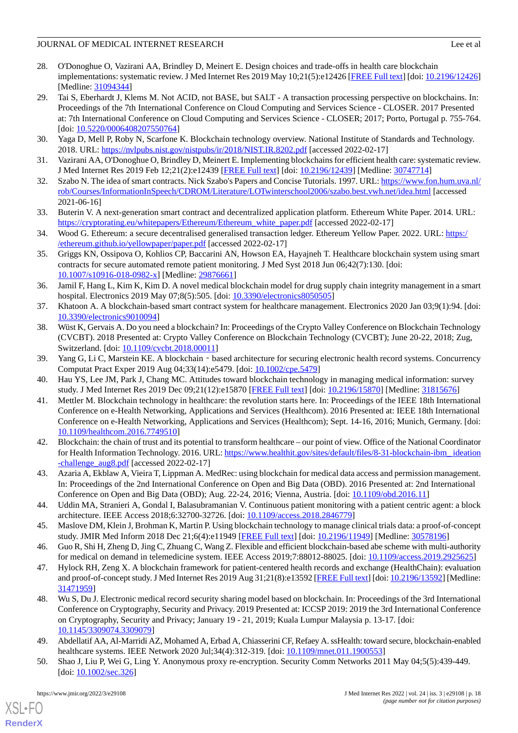## JOURNAL OF MEDICAL INTERNET RESEARCH Lee et al

- <span id="page-17-0"></span>28. O'Donoghue O, Vazirani AA, Brindley D, Meinert E. Design choices and trade-offs in health care blockchain implementations: systematic review. J Med Internet Res 2019 May 10;21(5):e12426 [[FREE Full text\]](https://www.jmir.org/2019/5/e12426/) [doi: [10.2196/12426](http://dx.doi.org/10.2196/12426)] [Medline: [31094344](http://www.ncbi.nlm.nih.gov/entrez/query.fcgi?cmd=Retrieve&db=PubMed&list_uids=31094344&dopt=Abstract)]
- <span id="page-17-1"></span>29. Tai S, Eberhardt J, Klems M. Not ACID, not BASE, but SALT - A transaction processing perspective on blockchains. In: Proceedings of the 7th International Conference on Cloud Computing and Services Science - CLOSER. 2017 Presented at: 7th International Conference on Cloud Computing and Services Science - CLOSER; 2017; Porto, Portugal p. 755-764. [doi: [10.5220/0006408207550764](http://dx.doi.org/10.5220/0006408207550764)]
- <span id="page-17-3"></span><span id="page-17-2"></span>30. Yaga D, Mell P, Roby N, Scarfone K. Blockchain technology overview. National Institute of Standards and Technology. 2018. URL: <https://nvlpubs.nist.gov/nistpubs/ir/2018/NIST.IR.8202.pdf> [accessed 2022-02-17]
- <span id="page-17-4"></span>31. Vazirani AA, O'Donoghue O, Brindley D, Meinert E. Implementing blockchains for efficient health care: systematic review. J Med Internet Res 2019 Feb 12;21(2):e12439 [\[FREE Full text\]](http://www.jmir.org/2019/2/e12439/) [doi: [10.2196/12439](http://dx.doi.org/10.2196/12439)] [Medline: [30747714](http://www.ncbi.nlm.nih.gov/entrez/query.fcgi?cmd=Retrieve&db=PubMed&list_uids=30747714&dopt=Abstract)]
- <span id="page-17-5"></span>32. Szabo N. The idea of smart contracts. Nick Szabo's Papers and Concise Tutorials. 1997. URL: [https://www.fon.hum.uva.nl/](https://www.fon.hum.uva.nl/rob/Courses/InformationInSpeech/CDROM/Literature/LOTwinterschool2006/szabo.best.vwh.net/idea.html) [rob/Courses/InformationInSpeech/CDROM/Literature/LOTwinterschool2006/szabo.best.vwh.net/idea.html](https://www.fon.hum.uva.nl/rob/Courses/InformationInSpeech/CDROM/Literature/LOTwinterschool2006/szabo.best.vwh.net/idea.html) [accessed 2021-06-16]
- <span id="page-17-6"></span>33. Buterin V. A next-generation smart contract and decentralized application platform. Ethereum White Paper. 2014. URL: [https://cryptorating.eu/whitepapers/Ethereum/Ethereum\\_white\\_paper.pdf](https://cryptorating.eu/whitepapers/Ethereum/Ethereum_white_paper.pdf) [accessed 2022-02-17]
- <span id="page-17-7"></span>34. Wood G. Ethereum: a secure decentralised generalised transaction ledger. Ethereum Yellow Paper. 2022. URL: [https:/](https://ethereum.github.io/yellowpaper/paper.pdf) [/ethereum.github.io/yellowpaper/paper.pdf](https://ethereum.github.io/yellowpaper/paper.pdf) [accessed 2022-02-17]
- 35. Griggs KN, Ossipova O, Kohlios CP, Baccarini AN, Howson EA, Hayajneh T. Healthcare blockchain system using smart contracts for secure automated remote patient monitoring. J Med Syst 2018 Jun 06;42(7):130. [doi: [10.1007/s10916-018-0982-x\]](http://dx.doi.org/10.1007/s10916-018-0982-x) [Medline: [29876661](http://www.ncbi.nlm.nih.gov/entrez/query.fcgi?cmd=Retrieve&db=PubMed&list_uids=29876661&dopt=Abstract)]
- <span id="page-17-9"></span><span id="page-17-8"></span>36. Jamil F, Hang L, Kim K, Kim D. A novel medical blockchain model for drug supply chain integrity management in a smart hospital. Electronics 2019 May 07;8(5):505. [doi: [10.3390/electronics8050505](http://dx.doi.org/10.3390/electronics8050505)]
- 37. Khatoon A. A blockchain-based smart contract system for healthcare management. Electronics 2020 Jan 03;9(1):94. [doi: [10.3390/electronics9010094](http://dx.doi.org/10.3390/electronics9010094)]
- <span id="page-17-10"></span>38. Wüst K, Gervais A. Do you need a blockchain? In: Proceedings of the Crypto Valley Conference on Blockchain Technology (CVCBT). 2018 Presented at: Crypto Valley Conference on Blockchain Technology (CVCBT); June 20-22, 2018; Zug, Switzerland. [doi: [10.1109/cvcbt.2018.00011\]](http://dx.doi.org/10.1109/cvcbt.2018.00011)
- 39. Yang G, Li C, Marstein KE. A blockchain based architecture for securing electronic health record systems. Concurrency Computat Pract Exper 2019 Aug 04;33(14):e5479. [doi: [10.1002/cpe.5479\]](http://dx.doi.org/10.1002/cpe.5479)
- 40. Hau YS, Lee JM, Park J, Chang MC. Attitudes toward blockchain technology in managing medical information: survey study. J Med Internet Res 2019 Dec 09;21(12):e15870 [[FREE Full text\]](https://www.jmir.org/2019/12/e15870/) [doi: [10.2196/15870](http://dx.doi.org/10.2196/15870)] [Medline: [31815676](http://www.ncbi.nlm.nih.gov/entrez/query.fcgi?cmd=Retrieve&db=PubMed&list_uids=31815676&dopt=Abstract)]
- <span id="page-17-11"></span>41. Mettler M. Blockchain technology in healthcare: the revolution starts here. In: Proceedings of the IEEE 18th International Conference on e-Health Networking, Applications and Services (Healthcom). 2016 Presented at: IEEE 18th International Conference on e-Health Networking, Applications and Services (Healthcom); Sept. 14-16, 2016; Munich, Germany. [doi: [10.1109/healthcom.2016.7749510\]](http://dx.doi.org/10.1109/healthcom.2016.7749510)
- <span id="page-17-13"></span><span id="page-17-12"></span>42. Blockchain: the chain of trust and its potential to transform healthcare – our point of view. Office of the National Coordinator for Health Information Technology. 2016. URL: https://www.healthit.gov/sites/default/files/8-31-blockchain-ibm\_ideation [-challenge\\_aug8.pdf](https://www.healthit.gov/sites/default/files/8-31-blockchain-ibm_ideation-challenge_aug8.pdf) [accessed 2022-02-17]
- <span id="page-17-14"></span>43. Azaria A, Ekblaw A, Vieira T, Lippman A. MedRec: using blockchain for medical data access and permission management. In: Proceedings of the 2nd International Conference on Open and Big Data (OBD). 2016 Presented at: 2nd International Conference on Open and Big Data (OBD); Aug. 22-24, 2016; Vienna, Austria. [doi: [10.1109/obd.2016.11](http://dx.doi.org/10.1109/obd.2016.11)]
- <span id="page-17-16"></span><span id="page-17-15"></span>44. Uddin MA, Stranieri A, Gondal I, Balasubramanian V. Continuous patient monitoring with a patient centric agent: a block architecture. IEEE Access 2018;6:32700-32726. [doi: [10.1109/access.2018.2846779\]](http://dx.doi.org/10.1109/access.2018.2846779)
- 45. Maslove DM, Klein J, Brohman K, Martin P. Using blockchain technology to manage clinical trials data: a proof-of-concept study. JMIR Med Inform 2018 Dec 21;6(4):e11949 [[FREE Full text\]](https://medinform.jmir.org/2018/4/e11949/) [doi: [10.2196/11949](http://dx.doi.org/10.2196/11949)] [Medline: [30578196](http://www.ncbi.nlm.nih.gov/entrez/query.fcgi?cmd=Retrieve&db=PubMed&list_uids=30578196&dopt=Abstract)]
- <span id="page-17-17"></span>46. Guo R, Shi H, Zheng D, Jing C, Zhuang C, Wang Z. Flexible and efficient blockchain-based abe scheme with multi-authority for medical on demand in telemedicine system. IEEE Access 2019;7:88012-88025. [doi: [10.1109/access.2019.2925625](http://dx.doi.org/10.1109/access.2019.2925625)]
- <span id="page-17-18"></span>47. Hylock RH, Zeng X. A blockchain framework for patient-centered health records and exchange (HealthChain): evaluation and proof-of-concept study. J Med Internet Res 2019 Aug 31;21(8):e13592 [\[FREE Full text\]](https://www.jmir.org/2019/8/e13592/) [doi: [10.2196/13592](http://dx.doi.org/10.2196/13592)] [Medline: [31471959](http://www.ncbi.nlm.nih.gov/entrez/query.fcgi?cmd=Retrieve&db=PubMed&list_uids=31471959&dopt=Abstract)]
- <span id="page-17-19"></span>48. Wu S, Du J. Electronic medical record security sharing model based on blockchain. In: Proceedings of the 3rd International Conference on Cryptography, Security and Privacy. 2019 Presented at: ICCSP 2019: 2019 the 3rd International Conference on Cryptography, Security and Privacy; January 19 - 21, 2019; Kuala Lumpur Malaysia p. 13-17. [doi: [10.1145/3309074.3309079](http://dx.doi.org/10.1145/3309074.3309079)]
- 49. Abdellatif AA, Al-Marridi AZ, Mohamed A, Erbad A, Chiasserini CF, Refaey A. ssHealth: toward secure, blockchain-enabled healthcare systems. IEEE Network 2020 Jul;34(4):312-319. [doi: [10.1109/mnet.011.1900553\]](http://dx.doi.org/10.1109/mnet.011.1900553)
- 50. Shao J, Liu P, Wei G, Ling Y. Anonymous proxy re-encryption. Security Comm Networks 2011 May 04;5(5):439-449. [doi: [10.1002/sec.326\]](http://dx.doi.org/10.1002/sec.326)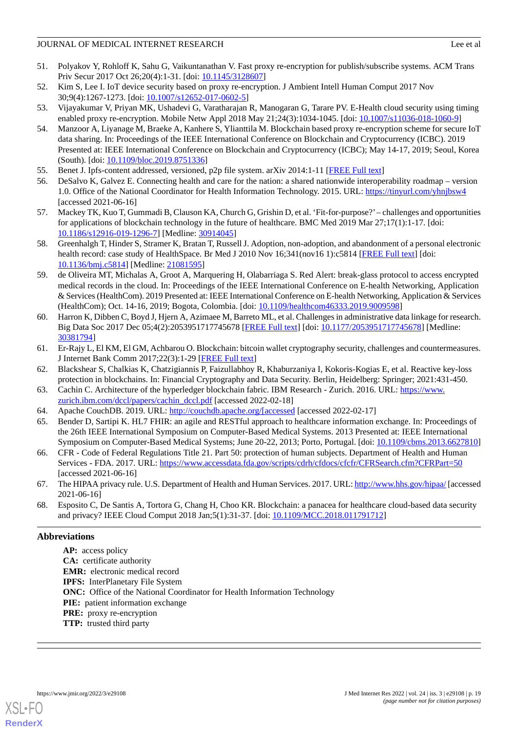- 51. Polyakov Y, Rohloff K, Sahu G, Vaikuntanathan V. Fast proxy re-encryption for publish/subscribe systems. ACM Trans Priv Secur 2017 Oct 26;20(4):1-31. [doi: [10.1145/3128607](http://dx.doi.org/10.1145/3128607)]
- 52. Kim S, Lee I. IoT device security based on proxy re-encryption. J Ambient Intell Human Comput 2017 Nov 30;9(4):1267-1273. [doi: [10.1007/s12652-017-0602-5\]](http://dx.doi.org/10.1007/s12652-017-0602-5)
- <span id="page-18-0"></span>53. Vijayakumar V, Priyan MK, Ushadevi G, Varatharajan R, Manogaran G, Tarare PV. E-Health cloud security using timing enabled proxy re-encryption. Mobile Netw Appl 2018 May 21;24(3):1034-1045. [doi: [10.1007/s11036-018-1060-9](http://dx.doi.org/10.1007/s11036-018-1060-9)]
- 54. Manzoor A, Liyanage M, Braeke A, Kanhere S, Ylianttila M. Blockchain based proxy re-encryption scheme for secure IoT data sharing. In: Proceedings of the IEEE International Conference on Blockchain and Cryptocurrency (ICBC). 2019 Presented at: IEEE International Conference on Blockchain and Cryptocurrency (ICBC); May 14-17, 2019; Seoul, Korea (South). [doi: [10.1109/bloc.2019.8751336](http://dx.doi.org/10.1109/bloc.2019.8751336)]
- <span id="page-18-2"></span><span id="page-18-1"></span>55. Benet J. Ipfs-content addressed, versioned, p2p file system. arXiv 2014:1-11 [\[FREE Full text](https://arxiv.org/pdf/1407.3561.pdf)]
- <span id="page-18-3"></span>56. DeSalvo K, Galvez E. Connecting health and care for the nation: a shared nationwide interoperability roadmap – version 1.0. Office of the National Coordinator for Health Information Technology. 2015. URL: [https://tinyurl.com/yhnjbsw4](https://www.healthit.gov/buzz-blog/electronic-health-and-medical-records/interoperability-electronic-health-and-medical-records/connecting-health-care-nation-shared-nationwide-interoperability-roadmap-version-10) [accessed 2021-06-16]
- <span id="page-18-4"></span>57. Mackey TK, Kuo T, Gummadi B, Clauson KA, Church G, Grishin D, et al. 'Fit-for-purpose?'– challenges and opportunities for applications of blockchain technology in the future of healthcare. BMC Med 2019 Mar 27;17(1):1-17. [doi: [10.1186/s12916-019-1296-7\]](http://dx.doi.org/10.1186/s12916-019-1296-7) [Medline: [30914045](http://www.ncbi.nlm.nih.gov/entrez/query.fcgi?cmd=Retrieve&db=PubMed&list_uids=30914045&dopt=Abstract)]
- <span id="page-18-5"></span>58. Greenhalgh T, Hinder S, Stramer K, Bratan T, Russell J. Adoption, non-adoption, and abandonment of a personal electronic health record: case study of HealthSpace. Br Med J 2010 Nov 16;341(nov16 1):c5814 [\[FREE Full text\]](http://europepmc.org/abstract/MED/21081595) [doi: [10.1136/bmj.c5814](http://dx.doi.org/10.1136/bmj.c5814)] [Medline: [21081595](http://www.ncbi.nlm.nih.gov/entrez/query.fcgi?cmd=Retrieve&db=PubMed&list_uids=21081595&dopt=Abstract)]
- <span id="page-18-6"></span>59. de Oliveira MT, Michalas A, Groot A, Marquering H, Olabarriaga S. Red Alert: break-glass protocol to access encrypted medical records in the cloud. In: Proceedings of the IEEE International Conference on E-health Networking, Application & Services (HealthCom). 2019 Presented at: IEEE International Conference on E-health Networking, Application & Services (HealthCom); Oct. 14-16, 2019; Bogota, Colombia. [doi: [10.1109/healthcom46333.2019.9009598](http://dx.doi.org/10.1109/healthcom46333.2019.9009598)]
- <span id="page-18-8"></span><span id="page-18-7"></span>60. Harron K, Dibben C, Boyd J, Hjern A, Azimaee M, Barreto ML, et al. Challenges in administrative data linkage for research. Big Data Soc 2017 Dec 05;4(2):2053951717745678 [[FREE Full text\]](https://journals.sagepub.com/doi/10.1177/2053951717745678?url_ver=Z39.88-2003&rfr_id=ori:rid:crossref.org&rfr_dat=cr_pub%3dpubmed) [doi: [10.1177/2053951717745678](http://dx.doi.org/10.1177/2053951717745678)] [Medline: [30381794](http://www.ncbi.nlm.nih.gov/entrez/query.fcgi?cmd=Retrieve&db=PubMed&list_uids=30381794&dopt=Abstract)]
- <span id="page-18-9"></span>61. Er-Rajy L, El KM, El GM, Achbarou O. Blockchain: bitcoin wallet cryptography security, challenges and countermeasures. J Internet Bank Comm 2017;22(3):1-29 [\[FREE Full text\]](https://www.icommercecentral.com/peer-reviewed/blockchain-bitcoin-wallet-cryptography-security-challenges-and-countermeasures-86561.html)
- <span id="page-18-10"></span>62. Blackshear S, Chalkias K, Chatzigiannis P, Faizullabhoy R, Khaburzaniya I, Kokoris-Kogias E, et al. Reactive key-loss protection in blockchains. In: Financial Cryptography and Data Security. Berlin, Heidelberg: Springer; 2021:431-450.
- <span id="page-18-11"></span>63. Cachin C. Architecture of the hyperledger blockchain fabric. IBM Research - Zurich. 2016. URL: [https://www.](https://www.zurich.ibm.com/dccl/papers/cachin_dccl.pdf) [zurich.ibm.com/dccl/papers/cachin\\_dccl.pdf](https://www.zurich.ibm.com/dccl/papers/cachin_dccl.pdf) [accessed 2022-02-18]
- <span id="page-18-12"></span>64. Apache CouchDB. 2019. URL: [http://couchdb.apache.org/\[accessed](http://couchdb.apache.org/[accessed) [accessed 2022-02-17]
- <span id="page-18-13"></span>65. Bender D, Sartipi K. HL7 FHIR: an agile and RESTful approach to healthcare information exchange. In: Proceedings of the 26th IEEE International Symposium on Computer-Based Medical Systems. 2013 Presented at: IEEE International Symposium on Computer-Based Medical Systems; June 20-22, 2013; Porto, Portugal. [doi: [10.1109/cbms.2013.6627810](http://dx.doi.org/10.1109/cbms.2013.6627810)]
- <span id="page-18-14"></span>66. CFR - Code of Federal Regulations Title 21. Part 50: protection of human subjects. Department of Health and Human Services - FDA. 2017. URL: <https://www.accessdata.fda.gov/scripts/cdrh/cfdocs/cfcfr/CFRSearch.cfm?CFRPart=50> [accessed 2021-06-16]
- 67. The HIPAA privacy rule. U.S. Department of Health and Human Services. 2017. URL:<http://www.hhs.gov/hipaa/> [accessed 2021-06-16]
- 68. Esposito C, De Santis A, Tortora G, Chang H, Choo KR. Blockchain: a panacea for healthcare cloud-based data security and privacy? IEEE Cloud Comput 2018 Jan;5(1):31-37. [doi: [10.1109/MCC.2018.011791712\]](http://dx.doi.org/10.1109/MCC.2018.011791712)

## **Abbreviations**

**AP:** access policy **CA:** certificate authority **EMR:** electronic medical record **IPFS:** InterPlanetary File System **ONC:** Office of the National Coordinator for Health Information Technology PIE: patient information exchange **PRE:** proxy re-encryption **TTP:** trusted third party